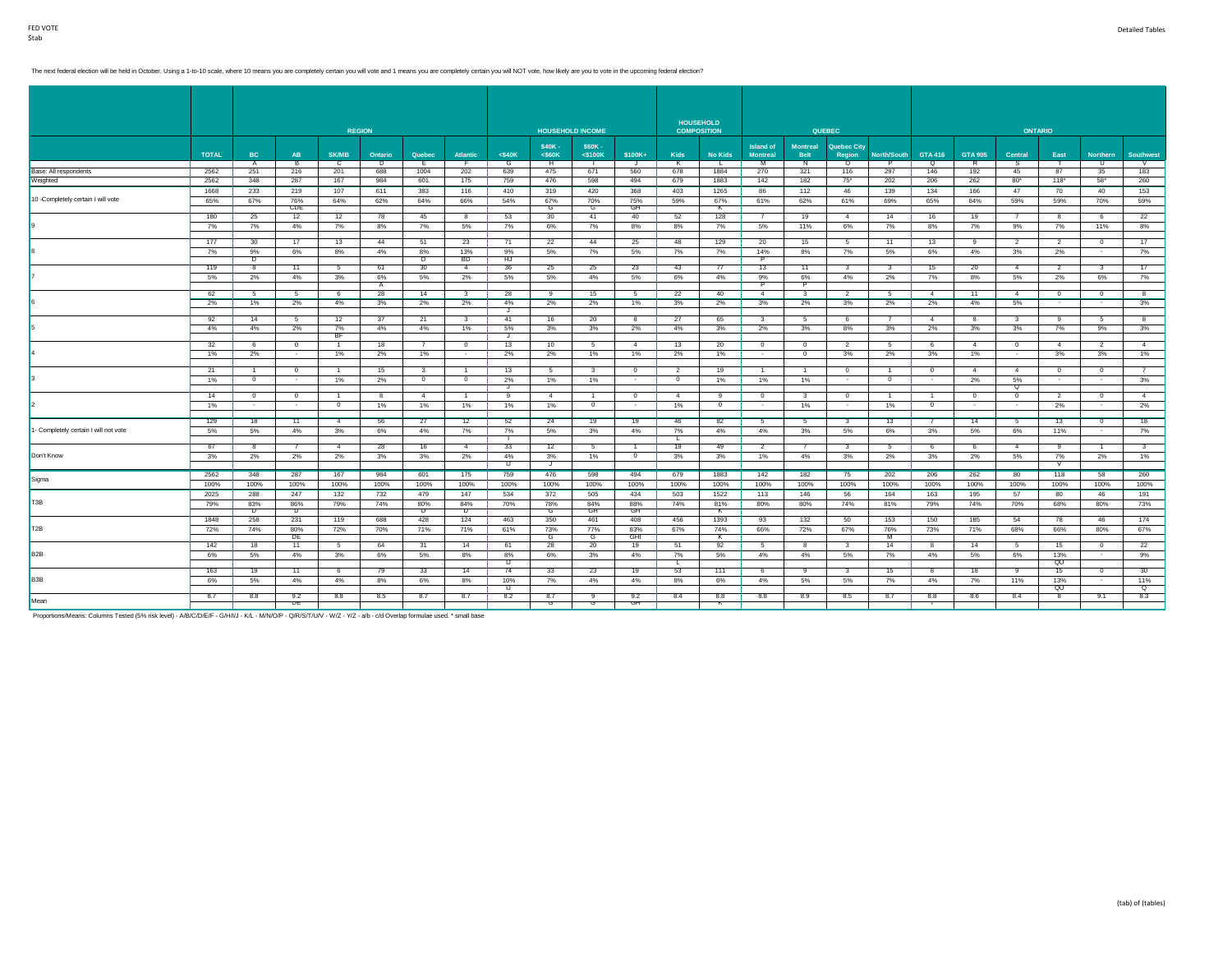# The next federal election will be held in October. Using a 1-to-10 scale, where 10 means you are completely certain you will vote and 1 means you are completely certain you will NOT vote, how likely are you to vote in the

|                                       |              |                |              |                | <b>REGION</b> |                |                         |              |                | <b>HOUSEHOLD INCOME</b> |                |                | <b>HOUSEHOLD</b><br><b>COMPOSITION</b> |                         |                         | <b>QUEBEC</b>                |                |                |                | <b>ONTARIO</b>          |                |                          |                |
|---------------------------------------|--------------|----------------|--------------|----------------|---------------|----------------|-------------------------|--------------|----------------|-------------------------|----------------|----------------|----------------------------------------|-------------------------|-------------------------|------------------------------|----------------|----------------|----------------|-------------------------|----------------|--------------------------|----------------|
|                                       |              |                |              |                |               |                |                         |              | \$40K-         | \$60K-                  |                |                |                                        | <b>Island of</b>        | <b>Montreal</b>         |                              |                |                |                |                         |                |                          |                |
|                                       | <b>TOTAL</b> | BC             | AB           | <b>SK/MB</b>   | Ontario       | Quebec         | Atlantic                | $<$ \$40 $K$ | $<$ S60 $K$    | $<$ \$100 $K$           | \$100K+        | Kids           | <b>No Kids</b>                         | <b>Montreal</b>         | <b>Belt</b>             | <b>Quebec City</b><br>Region | North/South    | <b>GTA 416</b> | <b>GTA 905</b> | Central                 | East           | <b>Northern</b>          | Southwest      |
|                                       |              | $\mathsf{A}$   | в.           | c              | D             | E.             | F.                      | G            | H              |                         | J              | K              | $\mathbf{L}$                           | M                       | N                       | $\circ$                      | P              | Q              | $\overline{R}$ | s.                      |                | U                        | $\vee$         |
| Base: All respondents                 | 2562<br>2562 | 251<br>348     | 216<br>287   | 201<br>167     | 688<br>984    | 1004<br>601    | 202<br>175              | 639<br>759   | 475<br>476     | 671<br>598              | 560<br>494     | 678<br>679     | 1884<br>1883                           | 270<br>142              | 321<br>182              | 116<br>$75*$                 | 297<br>202     | 146<br>206     | 192<br>262     | 45<br>$80*$             | 87<br>$118*$   | 35<br>$58*$              | 183<br>260     |
| Weighted                              |              |                |              |                |               |                |                         |              |                |                         |                |                |                                        |                         |                         |                              |                |                |                |                         |                |                          |                |
| 10 -Completely certain I will vote    | 1668         | 233            | 219          | 107            | 611           | 383            | 116                     | 410          | 319            | 420                     | 368            | 403            | 1265                                   | 86                      | 112                     | 46                           | 139            | 134            | 166            | 47                      | 70             | 40                       | 153            |
|                                       | 65%          | 67%            | 76%<br>CDE   | 64%            | 62%           | 64%            | 66%                     | 54%          | 67%<br>G       | 70%<br>G                | 75%<br>GH      | 59%            | 67%<br>K                               | 61%                     | 62%                     | 61%                          | 69%            | 65%            | 64%            | 59%                     | 59%            | 70%                      | 59%            |
|                                       | 180          | 25             | 12           | 12             | 78            | 45             | 8                       | 53           | 30             | 41                      | 40             | 52             | 128                                    | $\overline{7}$          | 19                      | $\overline{4}$               | 14             | 16             | 19             |                         | 8              | 6                        | 22             |
|                                       | 7%           | 7%             | 4%           | 7%             | 8%            | 7%             | 5%                      | 7%           | 6%             | 7%                      | 8%             | 8%             | 7%                                     | 5%                      | 11%                     | 6%                           | 7%             | 8%             | 7%             | 9%                      | 7%             | 11%                      | 8%             |
|                                       |              |                |              |                |               |                |                         |              |                |                         |                |                |                                        |                         |                         |                              |                |                |                |                         |                |                          |                |
|                                       | 177          | 30             | 17           | 13             | 44            | 51             | 23                      | 71           | 22             | 44                      | 25             | 48             | 129                                    | 20                      | 15                      | 5                            | 11             | 13             | -9             | $\overline{2}$          | $\overline{2}$ | $\overline{0}$<br>$\sim$ | 17             |
|                                       | 7%           | 9%<br>D        | 6%           | 8%             | 4%            | 8%<br>D        | 13%<br><b>BD</b>        | 9%<br>HJ     | 5%             | 7%                      | 5%             | 7%             | 7%                                     | 14%<br>₱                | 8%                      | 7%                           | 5%             | 6%             | 4%             | 3%                      | 2%             |                          | 7%             |
|                                       | 119          | -8             | 11           | -5             | 61            | 30             | $\overline{4}$          | 36           | 25             | 25                      | 23             | 43             | 77                                     | 13                      | 11                      | -3-                          | -3.            | 15             | 20             | $\overline{4}$          | $\mathcal{P}$  | -3                       | 17             |
|                                       | 5%           | 2%             | 4%           | 3%             | 6%            | 5%             | 2%                      | 5%           | 5%             | 4%                      | 5%             | 6%             | 4%                                     | 9%                      | 6%                      | 4%                           | 2%             | 7%             | 8%             | 5%                      | 2%             | 6%                       | 7%             |
|                                       |              |                |              |                | A             |                |                         |              |                |                         |                |                |                                        |                         |                         |                              |                |                |                |                         |                |                          |                |
|                                       | 62           | 5              | 5            | 6              | 28            | 14             | $\mathbf{3}$            | 28           | 9              | 15                      | -5             | 22             | 40                                     | $-4$                    | $\overline{\mathbf{3}}$ | $\overline{2}$               | 5              | $\overline{4}$ | 11             | $\overline{4}$          | $^{\circ}$     | $\mathbf{0}$             | 8              |
|                                       | $2\%$        | 1%             | 2%           | 4%             | 3%            | 2%             | 2%                      | 4%<br>J      | 2%             | 2%                      | 1%             | 3%             | 2%                                     | 3%                      | 2%                      | 3%                           | 2%             | 2%             | 4%             | 5%                      | $\sim$         | $\sim$                   | 3%             |
|                                       | 92           | 14             | 5            | 12             | 37            | 21             | $\overline{\mathbf{3}}$ | 41           | 16             | 20                      | 8              | 27             | 65                                     | $\overline{\mathbf{3}}$ | 5                       | 6                            | $\overline{7}$ | $-4$           | 8              | $\overline{\mathbf{3}}$ | 9              | 5                        | 8              |
|                                       | 4%           | 4%             | 2%           | 7%             | 4%            | 4%             | 1%                      | 5%           | 3%             | 3%                      | 2%             | 4%             | 3%                                     | 2%                      | 3%                      | 8%                           | 3%             | 2%             | 3%             | 3%                      | 7%             | 9%                       | 3%             |
|                                       |              |                |              | <b>BF</b>      |               |                |                         |              |                |                         |                |                |                                        |                         |                         |                              |                |                |                |                         |                |                          |                |
|                                       | 32           | 6              | $\mathbf{0}$ | $\overline{1}$ | 18            | $\overline{7}$ | $\overline{0}$          | 13           | 10             | 5                       | $\overline{4}$ | 13             | 20                                     | $\overline{0}$          | $\overline{0}$          | $\overline{2}$               | 5              | 6              | 4              | $\overline{0}$          | $\overline{4}$ | $\overline{2}$           | $\overline{4}$ |
|                                       | 1%           | 2%             | $\sim$       | 1%             | 2%            | 1%             | $\sim$                  | 2%           | 2%             | 1%                      | 1%             | 2%             | 1%                                     | $\sim$                  | $\overline{0}$          | 3%                           | 2%             | 3%             | 1%             | $\sim$                  | 3%             | 3%                       | 1%             |
|                                       | 21           | $\overline{1}$ | $\mathbf{0}$ | $\overline{1}$ | 15            | $\mathbf{3}$   | $\overline{1}$          | 13           | 5              | 3                       | $^{\circ}$     | $\overline{2}$ | 19                                     | $\overline{1}$          | $\overline{1}$          | $\mathbf{0}$                 | $\overline{1}$ | $^{\circ}$     | 4              | $\overline{4}$          | $\mathbf{0}$   | $\mathbf{0}$             | $\overline{7}$ |
|                                       | 1%           | $\mathbf{0}$   | $\sim$       | 1%             | 2%            | $\circ$        | $\overline{0}$          | 2%           | 1%             | 1%                      | $\sim$         | $\circ$        | 1%                                     | 1%                      | 1%                      | $\sim$                       | $\mathbf{0}$   | $\sim$         | 2%             | 5%                      | $\sim$         | $\sim$                   | 3%             |
|                                       |              |                |              |                |               |                |                         | J            |                |                         |                |                |                                        |                         |                         |                              |                |                |                | Q                       |                |                          |                |
|                                       | 14           | $\Omega$       | $^{\circ}$   | $\overline{1}$ | 8             | $\overline{4}$ | $\overline{1}$          | 9            | $\overline{4}$ | $\overline{1}$          | $\Omega$       | $\overline{4}$ | -9                                     | $\overline{0}$          | 3                       | $^{\circ}$                   | $\overline{1}$ |                | $\overline{0}$ | $\Omega$                | $\overline{2}$ | $^{\circ}$               | $\overline{4}$ |
|                                       | 1%           | $\sim$         | $\sim$       | $\mathbf{0}$   | 1%            | 1%             | 1%                      | 1%           | 1%             | $\mathbf{0}$            | $\sim$         | 1%             | $\overline{0}$                         | $\sim$                  | 1%                      | $\sim$                       | 1%             | $^{\circ}$     | $\sim$         | $\sim$                  | 2%             | $\sim$                   | 2%             |
|                                       | 129          | 18             | 11           | 4              | 56            | 27             | 12                      | 52           | 24             | 19                      | 19             | 46             | 82                                     | 5                       | -5                      | 3                            | 13             | -7             | 14             | 5                       | 13             | $\mathbf{0}$             | 18             |
| 1- Completely certain I will not vote | 5%           | 5%             | 4%           | 3%             | 6%            | 4%             | 7%                      | 7%           | 5%             | 3%                      | 4%             | 7%             | 4%                                     | 4%                      | 3%                      | 5%                           | 6%             | 3%             | 5%             | 6%                      | 11%            | $\sim$                   | 7%             |
|                                       |              |                |              |                |               |                |                         |              |                |                         |                | L.             |                                        |                         |                         |                              |                |                |                |                         |                |                          |                |
|                                       | 67           | -8             | -7           | $\overline{4}$ | 28            | 16             | $\overline{4}$          | 33           | 12             | 5                       |                | 19             | 49                                     | $\overline{2}$          | 7                       | 3                            | 5              | - 6            | 6              | 4                       | -9             | $\overline{1}$           | 3              |
| Don't Know                            | 3%           | 2%             | 2%           | 2%             | 3%            | 3%             | 2%                      | 4%<br>IJ     | 3%<br>J        | 1%                      | $^{\circ}$     | 3%             | 3%                                     | 1%                      | 4%                      | 3%                           | 2%             | 3%             | 2%             | 5%                      | 7%<br>v        | 2%                       | 1%             |
|                                       | 2562         | 348            | 287          | 167            | 984           | 601            | 175                     | 759          | 476            | 598                     | 494            | 679            | 1883                                   | 142                     | 182                     | 75                           | 202            | 206            | 262            | 80                      | 118            | 58                       | 260            |
| Sigma                                 | 100%         | 100%           | 100%         | 100%           | 100%          | 100%           | 100%                    | 100%         | 100%           | 100%                    | 100%           | 100%           | 100%                                   | 100%                    | 100%                    | 100%                         | 100%           | 100%           | 100%           | 100%                    | 100%           | 100%                     | 100%           |
|                                       | 2025         | 288            | 247          | 132            | 732           | 479            | 147                     | 534          | 372            | 505                     | 434            | 503            | 1522                                   | 113                     | 146                     | 56                           | 164            | 163            | 195            | 57                      | 80             | 46                       | 191            |
| T <sub>3</sub> B                      | 79%          | 83%            | 86%          | 79%            | 74%           | 80%            | 84%                     | 70%          | 78%            | 84%                     | 88%            | 74%            | 81%                                    | 80%                     | 80%                     | 74%                          | 81%            | 79%            | 74%            | 70%                     | 68%            | 80%                      | 73%            |
|                                       |              | চ              | ᠊ᠣ           |                |               | D              | চ                       |              | ্য             | GH                      | GH             |                | к                                      |                         |                         |                              |                |                |                |                         |                |                          |                |
|                                       | 1848         | 258            | 231          | 119            | 688           | 428            | 124                     | 463          | 350            | 461                     | 408            | 456            | 1393                                   | 93                      | 132                     | 50                           | 153            | 150            | 185            | 54                      | 78             | 46                       | 174            |
| T <sub>2</sub> B                      | 72%          | 74%            | 80%          | 72%            | 70%           | 71%            | 71%                     | 61%          | 73%            | 77%                     | 83%            | 67%            | 74%                                    | 66%                     | 72%                     | 67%                          | 76%            | 73%            | 71%            | 68%                     | 66%            | 80%                      | 67%            |
|                                       |              |                | DE           |                |               |                |                         |              | G              | G                       | GHI            |                | к                                      |                         |                         |                              | M              |                |                |                         |                |                          |                |
| B <sub>2</sub> B                      | 142<br>6%    | 18             | 11<br>4%     | 5              | 64<br>6%      | 31             | 14                      | 61<br>8%     | 28<br>6%       | 20                      | 19<br>4%       | 51<br>7%       | 92<br>5%                               | 5<br>4%                 | 8<br>4%                 | 3                            | 14             | - 8<br>4%      | 14             | 5<br>6%                 | 15<br>13%      | $\mathbf{0}$<br>$\sim$   | 22             |
|                                       |              | 5%             |              | 3%             |               | 5%             | 8%                      | IJ           |                | 3%                      |                | L.             |                                        |                         |                         | 5%                           | 7%             |                | 5%             |                         | QU             |                          | 9%             |
|                                       | 163          | 19             | 11           | 6              | 79            | 33             | 14                      | 74           | 33             | 23                      | 19             | 53             | 111                                    | 6                       | 9                       | 3                            | 15             | -8             | 18             | 9                       | 15             | $\mathbf{0}$             | 30             |
| B <sub>3</sub> B                      | 6%           | 5%             | 4%           | 4%             | 8%            | 6%             | 8%                      | 10%          | 7%             | 4%                      | 4%             | 8%             | 6%                                     | 4%                      | 5%                      | 5%                           | 7%             | 4%             | 7%             | 11%                     | 13%            | $\sim$                   | 11%            |
|                                       |              |                |              |                |               |                |                         | IJ           |                |                         |                |                |                                        |                         |                         |                              |                |                |                |                         | QU             |                          | ୍              |
| Mean                                  | 8.7          | 8.8            | 9.2<br>ᇆ     | 8.8            | 8.5           | 8.7            | 8.7                     | 8.2          | 8.7<br>G       | 9                       | 9.2            | 8.4            | 8.8                                    | 8.8                     | 8.9                     | 8.5                          | 8.7            | 8.8            | 8.6            | 8.4                     | 8              | 9.1                      | 8.3            |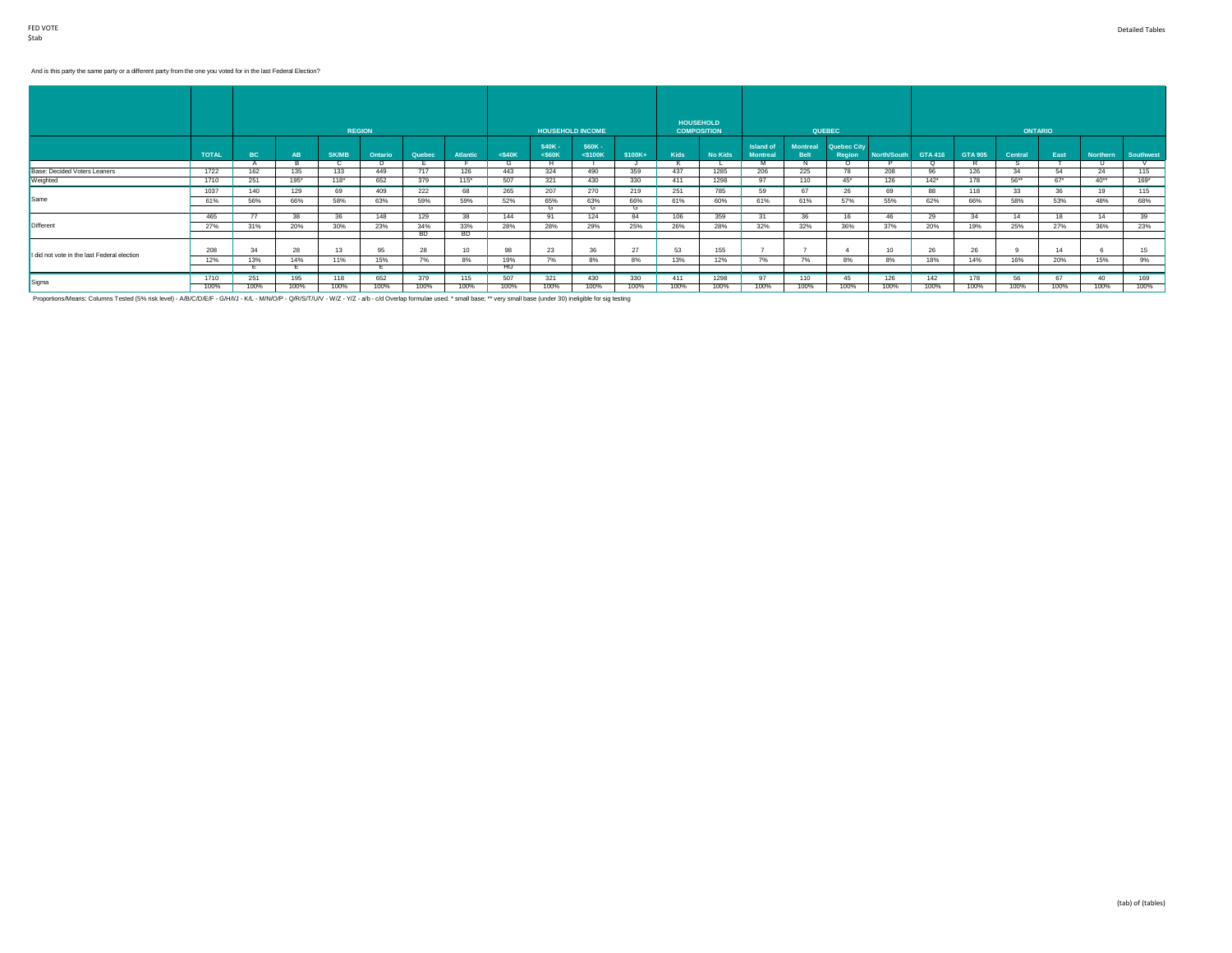# And is this party the same party or a different party from the one you voted for in the last Federal Election?

|                                             |              |      |           |              |               |        |          |           |                    |                          |         |      | <b>HOUSEHOLD</b>   |                              |                                |                              |             |            |                |         |                |          |           |
|---------------------------------------------|--------------|------|-----------|--------------|---------------|--------|----------|-----------|--------------------|--------------------------|---------|------|--------------------|------------------------------|--------------------------------|------------------------------|-------------|------------|----------------|---------|----------------|----------|-----------|
|                                             |              |      |           |              | <b>REGION</b> |        |          |           |                    | <b>HOUSEHOLD INCOME</b>  |         |      | <b>COMPOSITION</b> |                              |                                | <b>QUEBEC</b>                |             |            |                |         | <b>ONTARIO</b> |          |           |
|                                             | <b>TOTAL</b> | BC   | <b>AB</b> | <b>SK/MB</b> | Ontario       | Quebec | Atlantic | $<$ \$40K | \$40K-<br>$<$ S60K | \$60K -<br>$<$ \$100 $K$ | \$100K+ | Kids | <b>No Kids</b>     | Island of<br><b>Montreal</b> | <b>Montreal</b><br><b>Belt</b> | <b>Quebec City</b><br>Region | North/South | GTA 416    | <b>GTA 905</b> | Central | East           | Northern | Southwest |
|                                             |              |      |           |              | D.            |        |          |           |                    |                          |         |      |                    | M                            |                                |                              |             | $^{\circ}$ |                |         |                |          |           |
| Base: Decided Voters Leaners                | 1722         | 162  | 135       | 133          | 449           | 717    | 126      | 443       | 324                | 490                      | 359     | 437  | 1285               | 206                          | 225                            | 78                           | 208         | 96         | 126            | 34      | 54             | 24       | 115       |
| Weighted                                    | 1710         | 251  | $195*$    | $118*$       | 652           | 379    | 115"     | 507       | 321                | 430                      | 330     | 411  | 1298               | 97                           | 110                            | $45^*$                       | 126         | $142*$     | 178            | $56***$ | $67*$          | $40**$   | $169*$    |
|                                             | 1037         | 140  | 129       | 69           | 409           | 222    | 68       | 265       | 207                | 270                      | 219     | 251  | 785                | 59                           | 67                             | 26                           | 69          | 88         | 118            | 33      | 36             | 19       | 115       |
| Same                                        | 61%          | 56%  | 66%       | 58%          | 63%           | 59%    | 59%      | 52%       | 65%                | 63%                      | 66%     | 61%  | 60%                | 61%                          | 61%                            | 57%                          | 55%         | 62%        | 66%            | 58%     | 53%            | 48%      | 68%       |
|                                             |              |      |           |              |               |        |          |           | $\sim$             |                          |         |      |                    |                              |                                |                              |             |            |                |         |                |          |           |
|                                             | 465          |      | 38        | 36           | 148           | 129    | 38       | 144       | 91                 | 124                      | 84      | 106  | 359                | 31                           | 36                             | 16                           | 46          | 29         | 34             | 14      | 18             | 14       | 39        |
| <b>Different</b>                            | 27%          | 31%  | 20%       | 30%          | 23%           | 34%    | 33%      | 28%       | 28%                | 29%                      | 25%     | 26%  | 28%                | 32%                          | 32%                            | 36%                          | 37%         | 20%        | 19%            | 25%     | 27%            | 36%      | 23%       |
|                                             |              |      |           |              |               | BD.    | BD.      |           |                    |                          |         |      |                    |                              |                                |                              |             |            |                |         |                |          |           |
| I did not vote in the last Federal election | 208          | 34   | 28        | 13           | 95            | 28     | 10       | 98        | 23                 | 36                       | 27      | 53   | 155                |                              |                                |                              | 10          | 26         | 26             |         | 14             |          | 15        |
|                                             | 12%          | 13%  | 14%       | 11%          | 15%           | 7%     | 8%       | 19%       | 7%                 | 8%                       | 8%      | 13%  | 12%                | 7%                           | 7%                             | 8%                           | 8%          | 18%        | 14%            | 16%     | 20%            | 15%      | 9%        |
|                                             |              |      |           |              |               |        |          | HIJ       |                    |                          |         |      |                    |                              |                                |                              |             |            |                |         |                |          |           |
|                                             | 1710         | 251  | 195       | 118          | 652           | 379    | 115      | 507       | 321                | 430                      | 330     | 411  | 1298               | 97                           | 110                            | 45                           | 126         | 142        | 178            | 56      | 67             | 40       | 169       |
| Sigma                                       | 100%         | 100% | 100%      | 100%         | 100%          | 100%   | 100%     | 100%      | 100%               | 100%                     | 100%    | 100% | 100%               | 100%                         | 100%                           | 100%                         | 100%        | 100%       | 100%           | 100%    | 100%           | 100%     | 100%      |

Proportions/Means: Columns Tested (5% risk level) - A/B/C/D/E/F - G/H/I/J - K/L - M/N/O/P - Q/R/S/T/U/V - W/Z - a/b - c/d Overlap formulae used. \* small base; \*\* very small base (under 30) ineligible for sig testing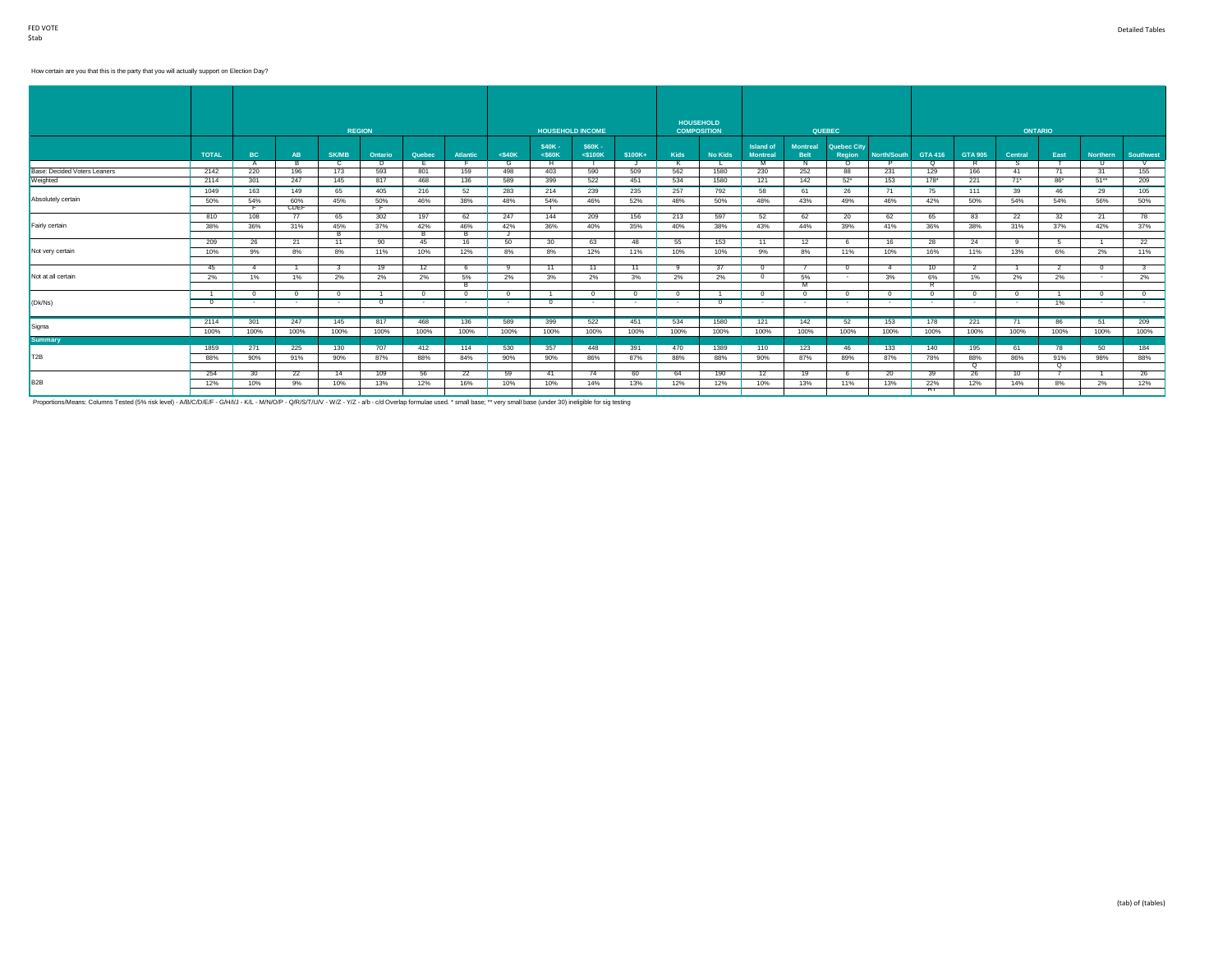## How certain are you that this is the party that you will actually support on Election Day?

|                              |              |                       |                 |                       | <b>REGION</b> |          |          |           |                    | <b>HOUSEHOLD INCOME</b>  |                |             | <b>HOUSEHOLD</b><br><b>COMPOSITION</b> |                                     |                                | <b>QUEBEC</b>                |                        |           |                    |                  | <b>ONTARIO</b> |            |                  |
|------------------------------|--------------|-----------------------|-----------------|-----------------------|---------------|----------|----------|-----------|--------------------|--------------------------|----------------|-------------|----------------------------------------|-------------------------------------|--------------------------------|------------------------------|------------------------|-----------|--------------------|------------------|----------------|------------|------------------|
|                              | <b>TOTAL</b> | BC                    | <b>AB</b>       | <b>SK/MB</b>          | Ontario       | Quebec   | Atlantic | $<$ \$40K | \$40K-<br>$<$ S60K | \$60K -<br>$<$ \$100 $K$ | $$100K+$       | <b>Kids</b> | <b>No Kids</b>                         | <b>Island of</b><br><b>Montreal</b> | <b>Montreal</b><br><b>Belt</b> | <b>Quebec City</b><br>Region | North/South            | GTA 416   | <b>GTA 905</b>     | Central          | East           | Northern   | <b>Southwest</b> |
| Base: Decided Voters Leaners | 2142         | $\overline{A}$<br>220 | <b>B</b><br>196 | $\overline{c}$<br>173 | D.<br>593     | 801      | 159      | G<br>498  | H<br>403           | 590                      | $\cdot$<br>509 | K<br>562    | 1580                                   | M<br>230                            | N<br>252                       | $\Omega$<br>88               | D<br>231               | ō<br>129  | R<br>166           | S.<br>41         | 71             | - 11<br>31 | V<br>155         |
| Weighted                     | 2114         | 301                   | 247             | 145                   | 817           | 468      | 136      | 589       | 399                | 522                      | 451            | 534         | 1580                                   | 121                                 | 142                            | $52*$                        | 153                    | $178*$    | 221                | $71*$            | $86*$          | $51**$     | 209              |
|                              | 1049         | 163                   | 149             | 65                    | 405           | 216      | 52       | 283       | 214                | 239                      | 235            | 257         | 792                                    | 58                                  | 61                             | 26                           | 71                     | 75        | 111                | 39               | 46             | 29         | 105              |
| Absolutely certain           | 50%          | 54%                   | 60%             | 45%                   | 50%           | 46%      | 38%      | 48%       | 54%                | 46%                      | 52%            | 48%         | 50%                                    | 48%                                 | 43%                            | 49%                          | 46%                    | 42%       | 50%                | 54%              | 54%            | 56%        | 50%              |
|                              |              |                       | CDEF            |                       |               |          |          |           |                    |                          |                |             |                                        |                                     |                                |                              |                        |           |                    |                  |                |            |                  |
|                              | 810          | 108                   | 77              | 65                    | 302           | 197      | 62       | 247       | 144                | 209                      | 156            | 213         | 597                                    | 52                                  | 62                             | 20                           | 62                     | 65        | 83                 | 22               | 32             | 21         | 78               |
| Fairly certain               | 38%          | 36%                   | 31%             | 45%                   | 37%           | 42%      | 46%      | 42%       | 36%                | 40%                      | 35%            | 40%         | 38%                                    | 43%                                 | 44%                            | 39%                          | 41%                    | 36%       | 38%                | 31%              | 37%            | 42%        | 37%              |
|                              |              |                       |                 | в.                    |               | в        | в        |           |                    |                          |                |             |                                        |                                     |                                |                              |                        |           |                    |                  |                |            |                  |
|                              | 209          | 26                    | 21              | 11                    | 90            | 45       | 16       | 50        | 30                 | 63                       | 48             | 55          | 153                                    | 11                                  | 12                             |                              | 16                     | 28        | 24                 | $\alpha$         |                |            | $^{22}$          |
| Not very certain             | 10%          | 9%                    | 8%              | 8%                    | 11%           | 10%      | 12%      | 8%        | 8%                 | 12%                      | 11%            | 10%         | 10%                                    | 9%                                  | 8%                             | 11%                          | 10%                    | 16%       | 11%                | 13%              | 6%             | 2%         | 11%              |
|                              | 45           | $\mathbf{A}$          |                 | $\mathcal{R}$         | 19            |          |          | $\alpha$  | 11                 | 11                       | 11             | $\alpha$    | 37                                     | $\overline{0}$                      |                                |                              | $\boldsymbol{\Lambda}$ | 10        | $\overline{2}$     |                  |                |            |                  |
| Not at all certain           |              | 1%                    | 1%              | 2%                    | 2%            | 12       | 5%       | 2%        | 3%                 | 2%                       | 3%             | 2%          | 2%                                     | $^{\circ}$                          | 5%                             | $\sim$                       | 3%                     | 6%        | 1%                 | 2%               | 2%             | $\sim$     | 2%               |
|                              | 2%           |                       |                 |                       |               | 2%       | B        |           |                    |                          |                |             |                                        |                                     |                                |                              |                        |           |                    |                  |                |            |                  |
|                              |              | $\sqrt{ }$            | $\Omega$        | $\Omega$              |               | $\Omega$ | $\Omega$ | $\Omega$  | $\overline{1}$     |                          | $\Omega$       | $\Omega$    |                                        | $^{\circ}$                          | $^{\circ}$                     |                              | $\Omega$               | $\Omega$  | $^{\circ}$         | $\Omega$         |                |            | $^{\circ}$       |
| (Dk/Ns)                      | $\Omega$     | <b>A</b>              | . .             | $\sim$                | $\Omega$      | $\sim$   | . .      | $\sim$    | $^{\circ}$         | $\sim$                   |                | $\sim$      | $\Omega$                               |                                     | . .                            |                              | $\sim$                 | $\sim$    | $\sim$             | $\sim$           | 1%             |            | $\sim$           |
|                              |              |                       |                 |                       |               |          |          |           |                    |                          |                |             |                                        |                                     |                                |                              |                        |           |                    |                  |                |            |                  |
|                              | 2114         | 301                   | 247             | 145                   | 817           | 468      | 136      | 589       | 399                | 522                      | 451            | 534         | 1580                                   | 121                                 | 142                            | 52                           | 153                    | 178       | 221                | 71               | 86             | 51         | 209              |
| Sigma                        | 100%         | 100%                  | 100%            | 100%                  | 100%          | 100%     | 100%     | 100%      | 100%               | 100%                     | 100%           | 100%        | 100%                                   | 100%                                | 100%                           | 100%                         | 100%                   | 100%      | 100%               | 100%             | 100%           | 100%       | 100%             |
| <b>Summary</b>               |              |                       |                 |                       |               |          |          |           |                    |                          |                |             |                                        |                                     |                                |                              |                        |           |                    |                  |                |            |                  |
|                              | 1859         | 271                   | 225             | 130                   | 707           | 412      | 114      | 530       | 357                | 448                      | 391            | 470         | 1389                                   | 110                                 | 123                            | 46                           | 133                    | 140       | 195                | 61               | 78             | 50         | 184              |
| T <sub>2</sub> B             | 88%          | 90%                   | 91%             | 90%                   | 87%           | 88%      | 84%      | 90%       | 90%                | 86%                      | 87%            | 88%         | 88%                                    | 90%                                 | 87%                            | 89%                          | 87%                    | 78%       | 88%                | 86%              | 91%            | 98%        | 88%              |
|                              |              |                       |                 |                       |               |          |          |           |                    |                          |                |             |                                        |                                     |                                |                              |                        |           | $\overline{\circ}$ |                  | $\circ$        |            |                  |
|                              | 254          | 30                    | 22              | 14                    | 109           | 56       | 22       | 59        | 41                 | 74                       | 60             | 64          | 190                                    | 12                                  | 19                             |                              | 20                     | 39        | 26                 | 10 <sup>10</sup> |                |            | 26               |
| B <sub>2</sub> B             | 12%          | 10%                   | 9%              | 10%                   | 13%           | 12%      | 16%      | 10%       | 10%                | 14%                      | 13%            | 12%         | 12%                                    | 10%                                 | 13%                            | 11%                          | 13%                    | 22%<br>кr | 12%                | 14%              | 8%             | 2%         | 12%              |
|                              |              |                       |                 |                       |               |          |          |           |                    |                          |                |             |                                        |                                     |                                |                              |                        |           |                    |                  |                |            |                  |

Proportions/Means: Columns Tested (5% risk level) - A/B/C/D/E/F - G/H/I/J - K/L - M/N/O/P - Q/R/S/T/U/V - W/Z - Y/Z - a/b - c/d Overlap formulae used. \* small base; \*\* very small base (under 30) ineligible for sig testing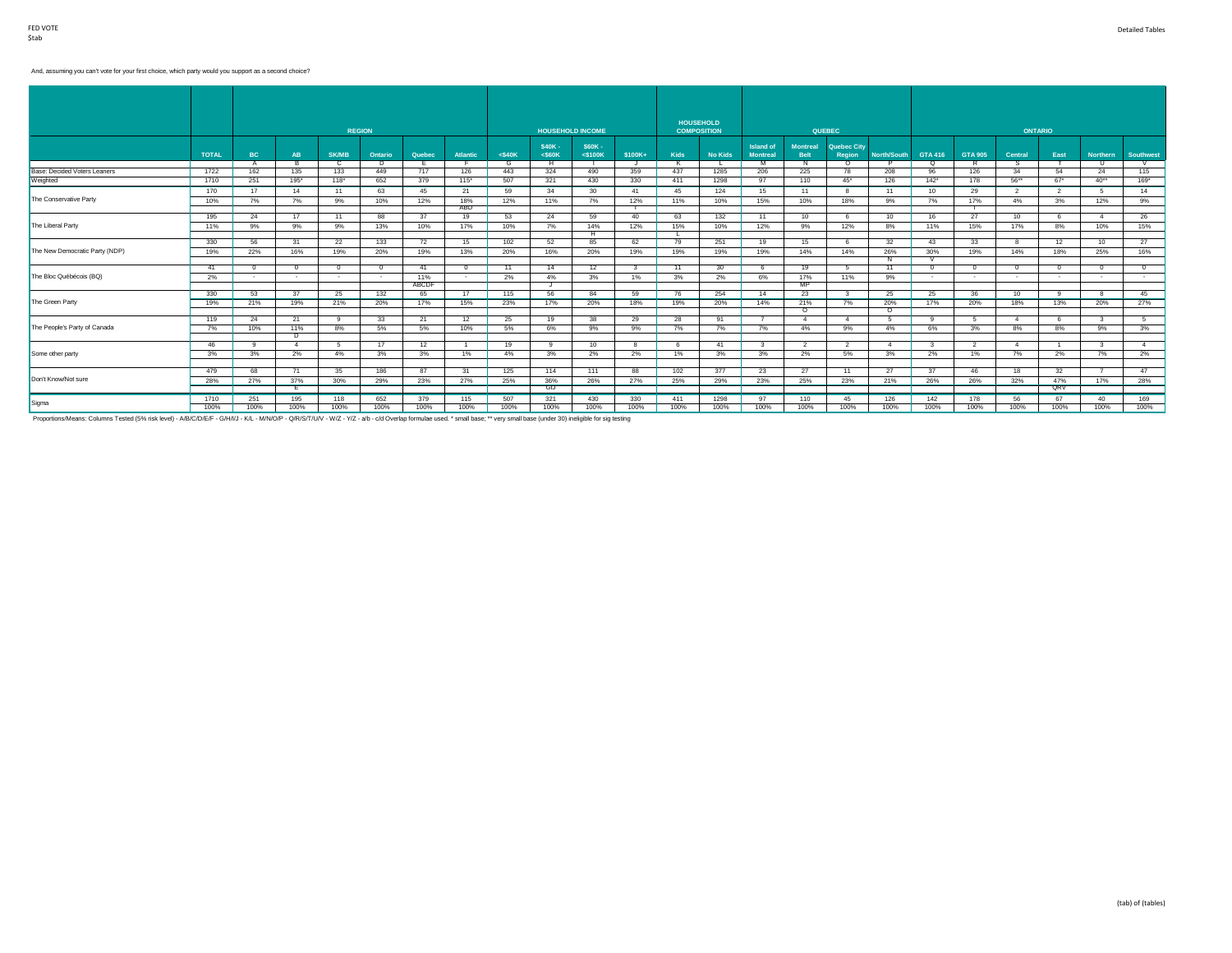#### And, assuming you can't vote for your first choice, which party would you support as a second choice?

|                                |              |                |                |              | <b>REGION</b> |        |                      |           |                    | <b>HOUSEHOLD INCOME</b>  |          |      | <b>HOUSEHOLD</b><br><b>COMPOSITION</b> |                                     |                                | <b>QUEBEC</b>         |                |                         |                | <b>ONTARIO</b>         |                          |                         |                |
|--------------------------------|--------------|----------------|----------------|--------------|---------------|--------|----------------------|-----------|--------------------|--------------------------|----------|------|----------------------------------------|-------------------------------------|--------------------------------|-----------------------|----------------|-------------------------|----------------|------------------------|--------------------------|-------------------------|----------------|
|                                | <b>TOTAL</b> | BC             | AB             | <b>SK/MB</b> | Ontario       | Quebec | <b>Atlantic</b>      | $<$ \$40K | \$40K-<br>$<$ S60K | \$60K -<br>$<$ \$100 $K$ | $$100K+$ | Kids | <b>No Kids</b>                         | <b>Island of</b><br><b>Montreal</b> | <b>Montreal</b><br><b>Belt</b> | Quebec City<br>Region | North/South    | GTA 416                 | <b>GTA 905</b> | Central                | East                     | <b>Northern</b>         | Southwest      |
|                                |              | A              |                |              | Ð             |        |                      | G         | H                  |                          |          | к    |                                        | M                                   | N                              | $\Omega$              | D              | ō                       | R              |                        |                          | - 11                    | V              |
| Base: Decided Voters Leaners   | 1722         | 162            | 135            | 133          | 449           | 717    | 126                  | 443       | 324                | 490                      | 359      | 437  | 1285                                   | 206                                 | 225                            | 78                    | 208            | 96                      | 126            | 34                     | 54                       | 24                      | 115            |
| Weighted                       | 1710         | 251            | $195*$         | $118*$       | 652           | 379    | $115*$               | 507       | 321                | 430                      | 330      | 411  | 1298                                   | 97                                  | 110                            | $45*$                 | 126            | $142^*$                 | 178            | $56**$                 | $67$ <sup>*</sup>        | $40**$                  | $169*$         |
|                                | 170          | 17             | 14             | 11           | 63            | 45     | 21                   | 59        | 34                 | 30                       | 41       | 45   | 124                                    | 15                                  | 11                             |                       | 11             | 10                      | 29             | 2                      | $\overline{\phantom{a}}$ | -5                      | 14             |
| The Conservative Party         | 10%          | 7%             | 7%             | 9%           | 10%           | 12%    | 18%                  | 12%       | 11%                | 7%                       | 12%      | 11%  | 10%                                    | 15%                                 | 10%                            | 18%                   | 9%             | 7%                      | 17%            | 4%                     | 3%                       | 12%                     | 9%             |
|                                |              |                |                |              |               |        | ABD                  |           |                    |                          |          |      |                                        |                                     |                                |                       |                |                         |                |                        |                          |                         |                |
|                                | 195          | 24             | 17             | 11           | 88            | 37     | 19                   | 53        | 24                 | 59                       | 40       | 63   | 132                                    | 11                                  | 10                             |                       | 10             | 16                      | 27             | 10 <sup>10</sup>       |                          | $\mathbf{A}$            | 26             |
| The Liberal Party              | 11%          | 9%             | 9%             | 9%           | 13%           | 10%    | 17%                  | 10%       | 7%                 | 14%                      | 12%      | 15%  | 10%                                    | 12%                                 | 9%                             | 12%                   | 8%             | 11%                     | 15%            | 17%                    | 8%                       | 10%                     | 15%            |
|                                |              |                |                |              |               |        |                      |           |                    | Ħ                        |          |      |                                        |                                     |                                |                       |                |                         |                |                        |                          |                         |                |
|                                | 330          | 56             | 31             | 22           | 133           | 72     | 15                   | 102       | 52                 | 85                       | 62       | 79   | 251                                    | 19                                  | 15                             |                       | 32             | 43                      | 33             | -8                     | 12                       | 10                      | 27             |
| The New Democratic Party (NDP) | 19%          | 22%            | 16%            | 19%          | 20%           | 19%    | 13%                  | 20%       | 16%                | 20%                      | 19%      | 19%  | 19%                                    | 19%                                 | 14%                            | 14%                   | 26%            | 30%                     | 19%            | 14%                    | 18%                      | 25%                     | 16%            |
|                                |              |                |                |              |               |        |                      |           |                    |                          |          |      |                                        |                                     |                                |                       |                |                         |                |                        |                          |                         |                |
|                                | 41           | $\Omega$       | $^{\circ}$     | $^{\circ}$   | $\Omega$      | 41     | $\Omega$             | 11        | 14                 | 12                       |          | 11   | 30 <sup>2</sup>                        | 6                                   | 19                             | 5                     | 11             | $^{\circ}$              | $^{\circ}$     | $^{\circ}$             |                          |                         | $\overline{0}$ |
| The Bloc Québécois (BQ)        | 2%           | $\sim$         | $\sim$         | $\sim$       | $\sim$        | 11%    | $\sim$               | 2%        | 4%                 | 3%                       | 1%       | 3%   | 2%                                     | 6%                                  | 17%                            | 11%                   | 9%             | $\sim$                  | $\sim$         | $\sim$                 | $\sim$                   | $\sim$                  | $\sim$         |
|                                |              |                |                |              |               | ABCDF  |                      |           | J                  |                          |          |      |                                        |                                     | MP                             |                       |                |                         |                |                        |                          |                         |                |
|                                | 330          | 53             | 37             | 25           | 132           | 65     | 17                   | 115       | 56                 | 84                       | 59       | 76   | 254                                    | 14                                  | 23                             |                       | 25             | 25                      | 36             | 10                     | ۰Q                       |                         | 45             |
| The Green Party                | 19%          | 21%            | 19%            | 21%          | 20%           | 17%    | 15%                  | 23%       | 17%                | 20%                      | 18%      | 19%  | 20%                                    | 14%                                 | 21%                            | 7%                    | 20%            | 17%                     | 20%            | 18%                    | 13%                      | 20%                     | 27%            |
|                                |              |                |                |              |               |        |                      |           |                    |                          |          |      |                                        |                                     | ᠊ᠦ                             |                       | $\Omega$       |                         |                |                        |                          |                         |                |
|                                | 119          | 24             | 21             | $\alpha$     | 33            | 21     | 12                   | 25        | 19                 | 38                       | 29       | 28   | 91                                     | $\overline{7}$                      | $\overline{4}$                 |                       | -5             | $\alpha$                | $-5$           | $\mathbf{A}$           |                          | -3                      | 5              |
| The People's Party of Canada   | 7%           | 10%            | 11%            | 8%           | 5%            | 5%     | 10%                  | 5%        | 6%                 | 9%                       | 9%       | 7%   | 7%                                     | 7%                                  | 4%                             | 9%                    | 4%             | 6%                      | 3%             | 8%                     | 8%                       | 9%                      | 3%             |
|                                |              |                | $\overline{D}$ |              |               |        |                      |           |                    |                          |          |      |                                        |                                     |                                |                       |                |                         |                |                        |                          |                         |                |
|                                | 46           | $\overline{9}$ | $\overline{4}$ | -5           | 17            | 12     | $\blacktriangleleft$ | 19        | 9                  | 10                       |          | 6    | 41                                     | $\overline{\mathbf{3}}$             | 2                              | $\overline{2}$        | $\overline{4}$ | $\overline{\mathbf{3}}$ | $\overline{2}$ | $\boldsymbol{\Lambda}$ |                          | $\overline{\mathbf{3}}$ | 4              |
| Some other party               | 3%           | 3%             | 2%             | 4%           | 3%            | 3%     | 1%                   | 4%        | 3%                 | 2%                       | 2%       | 1%   | 3%                                     | 3%                                  | 2%                             | 5%                    | 3%             | 2%                      | 1%             | 7%                     | 2%                       | 7%                      | 2%             |
|                                |              |                |                |              |               |        |                      |           |                    |                          |          |      |                                        |                                     |                                |                       |                |                         |                |                        |                          |                         |                |
|                                | 479          | 68             | 71             | 35           | 186           | 87     | 31                   | 125       | 114                | 111                      | 88       | 102  | 377                                    | 23                                  | 27                             | 11                    | 27             | 37                      | 46             | 18                     | 32 <sup>2</sup>          |                         | 47             |
| Don't Know/Not sure            | 28%          | 27%            | 37%            | 30%          | 29%           | 23%    | 27%                  | 25%       | 36%                | 26%                      | 27%      | 25%  | 29%                                    | 23%                                 | 25%                            | 23%                   | 21%            | 26%                     | 26%            | 32%                    | 47%                      | 17%                     | 28%            |
|                                |              |                | E              |              |               |        |                      |           | <b>GIJ</b>         |                          |          |      |                                        |                                     |                                |                       |                |                         |                |                        | QRV                      |                         |                |
| Sigma                          | 1710         | 251            | 195            | 118          | 652           | 379    | 115                  | 507       | 321                | 430                      | 330      | 411  | 1298                                   | 97                                  | 110                            | 45                    | 126            | 142                     | 178            | 56                     | 67                       | 40                      | 169            |
|                                | 100%         | 100%           | 100%           | 100%         | 100%          | 100%   | 100%                 | 100%      | 100%               | 100%                     | 100%     | 100% | 100%                                   | 100%                                | 100%                           | 100%                  | 100%           | 100%                    | 100%           | 100%                   | 100%                     | 100%                    | 100%           |

Proportions/Means: Columns Tested (5% risk level) - A/B/C/D/E/F - G/H/I/J - K/L - M/N/O/P - Q/R/S/T/U/V - W/Z - a/b - c/d Overlap formulae used. \* small base; \*\* very small base (under 30) ineligible for sig testing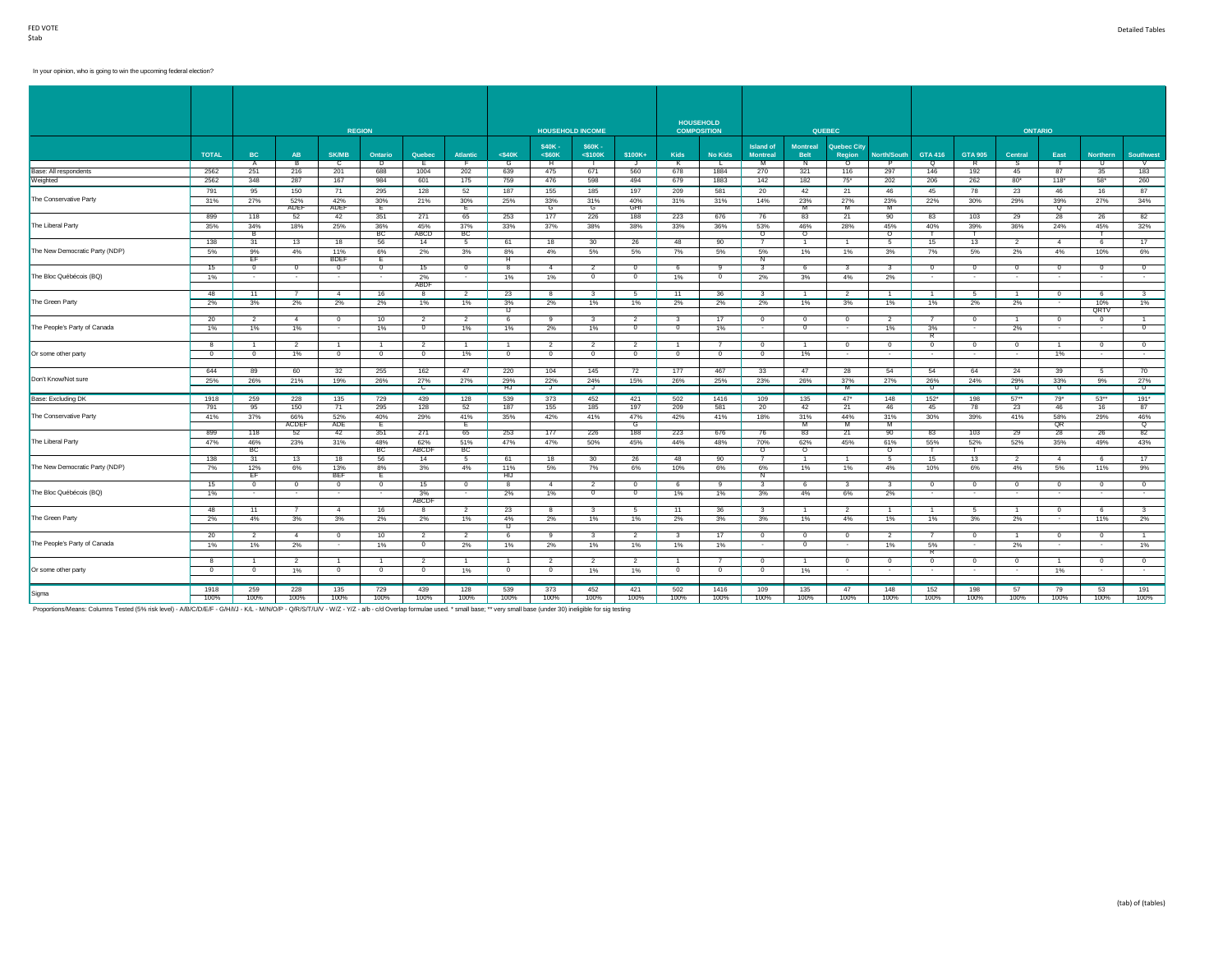# In your opinion, who is going to win the upcoming federal election?

|                                |                          |                |                |                          | <b>REGION</b>  |                                  |                 |                |                    | <b>HOUSEHOLD INCOME</b>  |                                  |                                | <b>HOUSEHOLD</b><br><b>COMPOSITION</b> |                                     |                                | <b>QUEBEC</b>                |                            |                |                          | <b>ONTARIO</b> |                              |                    |                                |
|--------------------------------|--------------------------|----------------|----------------|--------------------------|----------------|----------------------------------|-----------------|----------------|--------------------|--------------------------|----------------------------------|--------------------------------|----------------------------------------|-------------------------------------|--------------------------------|------------------------------|----------------------------|----------------|--------------------------|----------------|------------------------------|--------------------|--------------------------------|
|                                |                          |                |                |                          |                |                                  |                 |                |                    |                          |                                  |                                |                                        |                                     |                                |                              |                            |                |                          |                |                              |                    |                                |
|                                | <b>TOTAL</b>             | <b>BC</b>      | <b>AB</b>      | <b>SK/MB</b>             | Ontario        | Quebec                           | <b>Atlantic</b> | $<$ \$40 $K$   | \$40K-<br>$<$ S60K | \$60K -<br>$<$ \$100 $K$ | \$100K+                          | <b>Kids</b>                    | <b>No Kids</b>                         | <b>Island of</b><br><b>Montreal</b> | <b>Montreal</b><br><b>Belt</b> | <b>Quebec City</b><br>Region | <b>North/South</b>         | <b>GTA 416</b> | <b>GTA 905</b>           | Central        | East                         | <b>Northern</b>    | <b>Southwest</b>               |
|                                |                          | $\overline{A}$ | В.             | c                        | Þ              | Ε                                |                 | $\overline{G}$ | Ŧ                  |                          | J                                | K                              | L.                                     | M                                   | N                              | $\circ$                      | P                          | ō              | R                        | s              |                              | π                  | V                              |
| Base: All respondents          | 2562                     | 251            | 216            | 201                      | 688            | 1004                             | 202             | 639            | 475                | 671                      | 560                              | 678                            | 1884                                   | 270                                 | 321                            | 116                          | 297                        | 146            | 192                      | 45             | 87                           | 35                 | 183                            |
| Weighted                       | 2562                     | 348            | 287            | 167                      | 984            | 601                              | 175             | 759            | 476                | 598                      | 494                              | 679                            | 1883                                   | 142                                 | 182                            | $75^*$                       | 202                        | 206            | 262                      | $80^*$         | $118*$                       | $58^*$             | 260                            |
|                                | 791                      | 95             | 150            | 71                       | 295            | 128                              | 52              | 187            | 155                | 185                      | 197                              | 209                            | 581                                    | 20                                  | 42                             | 21                           | 46                         | 45             | 78                       | 23             | 46                           | 16                 | 87                             |
| The Conservative Party         | 31%                      | 27%            | 52%            | 42%                      | 30%            | 21%                              | 30%             | 25%            | 33%                | 31%                      | 40%                              | 31%                            | 31%                                    | 14%                                 | 23%                            | 27%                          | 23%                        | 22%            | 30%                      | 29%            | 39%                          | 27%                | 34%                            |
|                                | 899                      |                | ADEF<br>52     | ADEF                     | E<br>351       | 271                              | Е<br>65         |                | G<br>177           | G<br>226                 | GHI                              | 223                            |                                        |                                     | м<br>83                        | M<br>21                      | M<br>90                    |                | 103                      |                | Q<br>28                      |                    | 82                             |
|                                |                          | 118            |                | 42                       |                |                                  |                 | 253            |                    |                          | 188                              |                                | 676                                    | 76                                  |                                |                              |                            | 83             |                          | 29             |                              | 26                 |                                |
| The Liberal Party              | 35%                      | 34%<br>в       | 18%            | 25%                      | 36%<br>BC      | 45%<br>ABCD                      | 37%<br>BC       | 33%            | 37%                | 38%                      | 38%                              | 33%                            | 36%                                    | 53%<br>$\circ$                      | 46%<br>$\circ$                 | 28%                          | 45%<br>$\circ$             | 40%            | 39%<br>т.                | 36%            | 24%                          | 45%<br>т           | 32%                            |
|                                | 138                      | 31             | 13             | 18                       | 56             | 14                               | -5              | 61             | 18                 | 30                       | 26                               | 48                             | 90                                     | $\overline{7}$                      | $\overline{1}$                 |                              | -5                         | 15             | 13                       | $\overline{2}$ | $\overline{4}$               | 6                  | 17                             |
| The New Democratic Party (NDP) | 5%                       | 9%             | 4%             | 11%                      | 6%             | 2%                               | 3%              | 8%             | 4%                 | 5%                       | 5%                               | 7%                             | 5%                                     | 5%                                  | 1%                             | 1%                           | 3%                         | 7%             | 5%                       | 2%             | 4%                           | 10%                | 6%                             |
|                                |                          | EF             |                | <b>BDEF</b>              | Ε.             |                                  |                 | н              |                    |                          |                                  |                                |                                        | Ν                                   |                                |                              |                            |                |                          |                |                              |                    |                                |
|                                | 15                       | $^{\circ}$     | $^{\circ}$     | $\overline{0}$           | $\overline{0}$ | 15                               | $^{\circ}$      | 8              | $\overline{4}$     | $\overline{2}$           | $^{\circ}$                       | 6                              | 9                                      | 3                                   | 6                              |                              | -3                         | $\mathbf{0}$   | $\overline{0}$           | $\circ$        | $^{\circ}$                   | $\mathbf{0}$       | $\mathbf{0}$                   |
| The Bloc Québécois (BQ)        | 1%                       | $\sim$         | $\sim$         | $\sim$                   | $\sim$         | 2%                               | $\sim$          | 1%             | 1%                 | $\overline{0}$           | $\mathbf{0}$                     | 1%                             | $^{\circ}$                             | 2%                                  | 3%                             | 4%                           | 2%                         | $\sim$         | $\sim$                   | $\sim$         | $\sim$                       | $\sim$             | $\sim$                         |
|                                |                          |                |                |                          |                | ABDF                             |                 |                |                    |                          |                                  |                                |                                        |                                     |                                |                              |                            |                |                          |                |                              |                    |                                |
|                                | 48                       | 11             | $\overline{7}$ | $\overline{4}$           | 16             | 8                                | $\overline{2}$  | 23             | 8                  | $\mathbf{3}$             | -5                               | 11                             | 36                                     | $\overline{\mathbf{3}}$             | $\overline{1}$                 | $\overline{2}$               | $\mathbf{1}$               |                | 5                        | $\mathbf{1}$   | $\overline{0}$               | 6                  | $\overline{\mathbf{3}}$        |
| The Green Party                | 2%                       | 3%             | 2%             | 2%                       | 2%             | $1\%$                            | 1%              | 3%             | 2%                 | 1%                       | 1%                               | 2%                             | 2%                                     | 2%                                  | $1\%$                          | 3%                           | 1%                         | 1%             | 2%                       | 2%             | $\sim$                       | 10%                | 1%                             |
|                                |                          |                | $\overline{4}$ |                          |                |                                  |                 | IJ             |                    |                          |                                  |                                |                                        |                                     |                                |                              |                            |                |                          |                |                              | <b>QRTV</b>        |                                |
| The People's Party of Canada   | 20 <sup>2</sup><br>$1\%$ | 2<br>$1\%$     | 1%             | $\overline{0}$<br>$\sim$ | 10<br>1%       | $\overline{2}$<br>$\overline{0}$ | 2<br>1%         | 6<br>1%        | 9<br>2%            | 3<br>1%                  | $\overline{2}$<br>$\overline{0}$ | $\mathbf{3}$<br>$\overline{0}$ | 17<br>1%                               | $\overline{0}$<br>$\sim$            | $\mathbf{0}$<br>$\overline{0}$ | $^{\circ}$<br>. .            | 2<br>1%                    | -7<br>3%       | $\overline{0}$<br>$\sim$ | 1<br>2%        | $\mathbf{0}$<br>$\mathbf{r}$ | $\mathbf{0}$<br>۰. | $\mathbf{1}$<br>$\overline{0}$ |
|                                |                          |                |                |                          |                |                                  |                 |                |                    |                          |                                  |                                |                                        |                                     |                                |                              |                            | R              |                          |                |                              |                    |                                |
|                                | 8                        | $\overline{1}$ | $\overline{2}$ | $\overline{1}$           | $\overline{1}$ | $\overline{2}$                   | $\overline{1}$  | $\overline{1}$ | $\overline{2}$     | $\overline{2}$           | $\overline{2}$                   | $\overline{1}$                 | $\overline{7}$                         | $\overline{0}$                      | $\overline{1}$                 | $\overline{0}$               | $\overline{0}$             | $\overline{0}$ | $\overline{0}$           | $\overline{0}$ | $\overline{1}$               | $^{\circ}$         | $\overline{0}$                 |
| Or some other party            | $\overline{0}$           | $\overline{0}$ | 1%             | $\overline{0}$           | $\overline{0}$ | $\overline{0}$                   | 1%              | $\overline{0}$ | $\overline{0}$     | $\mathbf{0}$             | $\overline{0}$                   | $\overline{0}$                 | $\overline{0}$                         | $\overline{0}$                      | $1\%$                          | $\sim$                       | $\sim$                     | $\sim$         | $\sim$                   | <b>Section</b> | 1%                           | $\sim$             | $\sim$                         |
|                                |                          |                |                |                          |                |                                  |                 |                |                    |                          |                                  |                                |                                        |                                     |                                |                              |                            |                |                          |                |                              |                    |                                |
|                                | 644                      | 89             | 60             | 32                       | 255            | 162                              | 47              | 220            | 104                | 145                      | 72                               | 177                            | 467                                    | 33                                  | 47                             | 28                           | 54                         | 54             | 64                       | 24             | 39                           | 5                  | 70                             |
| Don't Know/Not sure            | 25%                      | 26%            | 21%            | 19%                      | 26%            | 27%                              | 27%             | 29%            | 22%                | 24%                      | 15%                              | 26%                            | 25%                                    | 23%                                 | 26%                            | 37%                          | 27%                        | 26%            | 24%                      | 29%            | 33%                          | 9%                 | 27%                            |
|                                |                          |                |                |                          |                | $\mathbf{C}$                     |                 | HJ             | J                  | J                        |                                  |                                |                                        |                                     |                                | M                            |                            | U              |                          | $\mathsf{U}$   | $\cup$                       |                    | $\overline{\mathsf{u}}$        |
| Base: Excluding DK             | 1918                     | 259            | 228            | 135                      | 729            | 439                              | 128             | 539            | 373                | 452                      | 421                              | 502                            | 1416                                   | 109                                 | 135                            | $47^*$                       | 148                        | $152*$         | 198                      | $57**$         | $79*$                        | $53**$             | $191*$                         |
|                                | 791                      | 95             | 150            | 71                       | 295            | 128                              | 52              | 187            | 155                | 185                      | 197                              | 209                            | 581                                    | 20                                  | 42                             | 21                           | 46                         | 45             | 78                       | 23             | 46                           | 16                 | 87                             |
| The Conservative Party         | 41%                      | 37%            | 66%            | 52%                      | 40%            | 29%                              | 41%             | 35%            | 42%                | 41%                      | 47%                              | 42%                            | 41%                                    | 18%                                 | 31%                            | 44%                          | 31%                        | 30%            | 39%                      | 41%            | 58%                          | 29%                | 46%                            |
|                                |                          |                | <b>ACDEF</b>   | ADE                      | Έ              |                                  | Έ               |                |                    |                          | G                                |                                |                                        |                                     | M                              | ™                            | ᅑ                          |                |                          |                | QR                           |                    | ᠊ᡉ                             |
|                                | 899                      | 118            | 52             | 42                       | 351            | 271                              | 65              | 253            | 177                | 226                      | 188                              | 223                            | 676                                    | 76                                  | 83                             | 21                           | 90                         | 83             | 103                      | 29             | 28                           | 26                 | 82                             |
| The Liberal Party              | 47%                      | 46%            | 23%            | 31%                      | 48%            | 62%<br><b>ABCDF</b>              | 51%             | 47%            | 47%                | 50%                      | 45%                              | 44%                            | 48%                                    | 70%<br>᠊ᠦ                           | 62%                            | 45%                          | 61%                        | 55%            | 52%                      | 52%            | 35%                          | 49%                | 43%                            |
|                                | 138                      | BC<br>31       | 13             | 18                       | BC<br>56       | 14                               | BC<br>5         | 61             | 18                 | 30                       | 26                               | 48                             | 90                                     | $\overline{7}$                      | ०<br>$\overline{1}$            |                              | $\circ$<br>$5\overline{5}$ | 15             | 13                       | $\overline{2}$ | $\overline{4}$               | 6                  | 17                             |
| The New Democratic Party (NDP) | 7%                       | 12%            | 6%             | 13%                      | 8%             | 3%                               | 4%              | 11%            | 5%                 | 7%                       | 6%                               | 10%                            | 6%                                     | 6%                                  | $1\%$                          | 1%                           | 4%                         | 10%            | 6%                       | 4%             | 5%                           | 11%                | 9%                             |
|                                |                          | EF             |                | <b>BEF</b>               | E              |                                  |                 | HIJ            |                    |                          |                                  |                                |                                        | N                                   |                                |                              |                            |                |                          |                |                              |                    |                                |
|                                | 15                       | $^{\circ}$     | $\circ$        | $\overline{0}$           | $\overline{0}$ | 15                               | $\overline{0}$  | -8             | 4                  | $\overline{2}$           | $\mathbf{0}$                     | 6                              | $\mathbf{a}$                           | $\overline{\mathbf{3}}$             | 6                              | $\mathbf{3}$                 | $\mathbf{3}$               | $\overline{0}$ | $\overline{0}$           | $\overline{0}$ | $^{\circ}$                   | $\mathbf{0}$       | $\overline{0}$                 |
| The Bloc Québécois (BQ)        | $1\%$                    | $\sim$         | $\sim$         | $\sim$                   | $\sim$         | 3%                               | $\sim$          | 2%             | 1%                 | $^{\circ}$               | $\mathbf{0}$                     | 1%                             | 1%                                     | 3%                                  | 4%                             | 6%                           | 2%                         | $\sim$         | $\sim$                   | $\sim$         | $\sim$                       | $\mathbf{r}$       | $\sim$                         |
|                                |                          |                |                |                          |                | ABCDF                            |                 |                |                    |                          |                                  |                                |                                        |                                     |                                |                              |                            |                |                          |                |                              |                    |                                |
|                                | 48                       | 11             | $\overline{7}$ | 4                        | 16             | 8                                | 2               | 23             | 8                  | $\overline{\mathbf{3}}$  | - 5                              | 11                             | 36                                     | $\overline{\mathbf{3}}$             | 1                              | $\overline{2}$               | $\overline{1}$             | $\overline{1}$ | 5                        | $\overline{1}$ | $\overline{0}$               | 6                  | $\mathbf{3}$                   |
| The Green Party                | 2%                       | 4%             | 3%             | 3%                       | 2%             | 2%                               | 1%              | 4%             | 2%                 | 1%                       | 1%                               | 2%                             | 3%                                     | 3%                                  | 1%                             | 4%                           | 1%                         | 1%             | 3%                       | 2%             | $\sim$                       | 11%                | 2%                             |
|                                |                          |                |                |                          |                |                                  |                 | π              |                    |                          |                                  |                                |                                        |                                     |                                |                              |                            |                |                          |                |                              |                    |                                |
|                                | 20                       | 2              | $\overline{4}$ | $\overline{\mathbf{0}}$  | 10             | 2                                | $\overline{2}$  | 6              | 9                  | -3                       | $\overline{2}$                   | 3                              | 17                                     | $\overline{\phantom{0}}$            | $\circ$                        | $^{\circ}$                   | 2                          |                | $\overline{0}$           | $\mathbf{1}$   | $\overline{\mathbf{0}}$      | $\mathbf{0}$       | $\mathbf{1}$                   |
| The People's Party of Canada   | 1%                       | 1%             | 2%             | $\sim$                   | 1%             | $\circ$                          | 2%              | 1%             | 2%                 | 1%                       | 1%                               | 1%                             | 1%                                     | $\sim$                              | $\circ$                        | $\sim$                       | 1%                         | 5%<br>R        | $\sim$                   | 2%             | $\sim$                       | $\sim$             | 1%                             |
|                                | 8                        |                | $\overline{2}$ |                          | $\mathbf{1}$   | 2                                |                 |                | -2                 | $\overline{2}$           | $\overline{2}$                   |                                |                                        | $^{\circ}$                          |                                | $^{\circ}$                   | $^{\circ}$                 | $\mathbf{0}$   | $^{\circ}$               | $^{\circ}$     |                              | $\mathbf{0}$       | $^{\circ}$                     |
| Or some other party            | $\overline{0}$           | $^{\circ}$     | 1%             | $\overline{0}$           | $\overline{0}$ | $\overline{0}$                   | 1%              | $\overline{0}$ | $\circ$            | 1%                       | 1%                               | $\overline{\phantom{0}}$       | $^{\circ}$                             | $\overline{0}$                      | 1%                             | $\overline{\phantom{a}}$     |                            | $\sim$         | $\sim$                   | <b>1979</b>    | 1%                           |                    | $\sim$                         |
|                                |                          |                |                |                          |                |                                  |                 |                |                    |                          |                                  |                                |                                        |                                     |                                |                              |                            |                |                          |                |                              |                    |                                |
|                                | 1918                     | 259            | 228            | 135                      | 729            | 439                              | 128             | 539            | 373                | 452                      | 421                              | 502                            | 1416                                   | 109                                 | 135                            | 47                           | 148                        | 152            | 198                      | 57             | 79                           | 53                 | 191                            |
| Sigma                          | 100%                     | 100%           | 100%           | 100%                     | 100%           | 100%                             | 100%            | 100%           | 100%               | 100%                     | 100%                             | 100%                           | 100%                                   | 100%                                | 100%                           | 100%                         | 100%                       | 100%           | 100%                     | 100%           | 100%                         | 100%               | 100%                           |

Proportions/Means: Columns Tested (5% risk level) - A/B/C/D/E/F - G/H/I/J - K/L - M/N/O/P - Q/R/S/T/U/V - W/Z - Y/Z - a/b - c/d Overlap formulae used. \* small base; \*\* very small base (under 30) ineligible for sig testing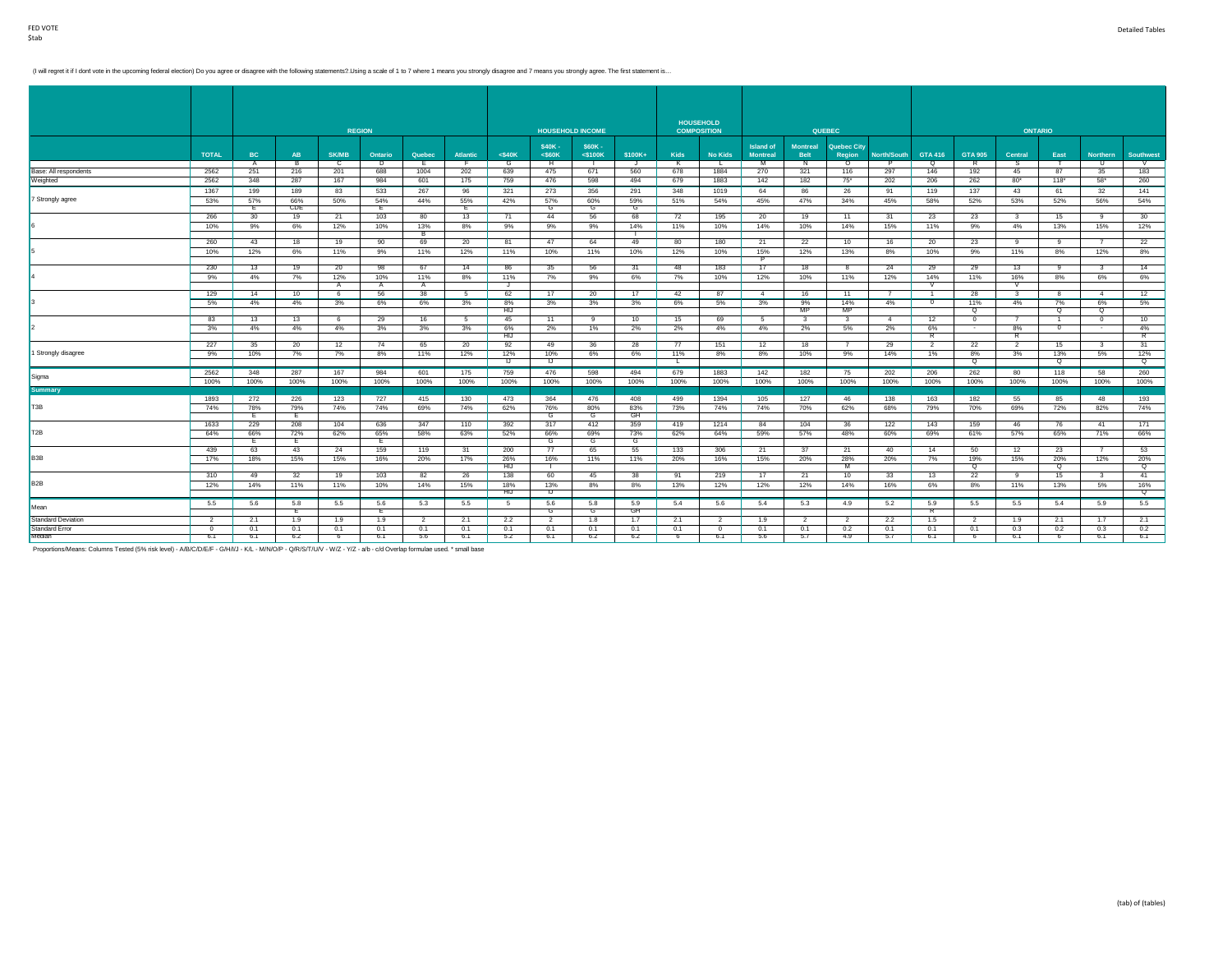(I will regret it if I dont vote in the upcoming federal election) Do you agree or disagree with the following statements?. Using a scale of 1 to 7 where 1 means you strongly disagree and 7 means you strongly agree. The fi

|                           |                |                |          |                | <b>REGION</b> |                |          |                   |                | <b>HOUSEHOLD INCOME</b> |         |                         | <b>HOUSEHOLD</b><br><b>COMPOSITION</b> |                  |                 | <b>QUEBEC</b>      |                |                |                 | <b>ONTARIO</b> |                 |                |                  |
|---------------------------|----------------|----------------|----------|----------------|---------------|----------------|----------|-------------------|----------------|-------------------------|---------|-------------------------|----------------------------------------|------------------|-----------------|--------------------|----------------|----------------|-----------------|----------------|-----------------|----------------|------------------|
|                           |                |                |          |                |               |                |          |                   | \$40K-         | \$60K -                 |         |                         |                                        | <b>Island of</b> | <b>Montreal</b> | <b>Quebec City</b> |                |                |                 |                |                 |                |                  |
|                           | <b>TOTAL</b>   | BC             | AB       | <b>SK/MB</b>   | Ontario       | Quebec         | Atlantic | $<$ \$40 $K$      | $<$ S60 $K$    | $<$ \$100 $K$           | \$100K+ | Kids                    | <b>No Kids</b>                         | <b>Montreal</b>  | <b>Belt</b>     | Region             | North/South    | <b>GTA 416</b> | <b>GTA 905</b>  | Central        | East            | Northern       | <b>Southwest</b> |
|                           |                | $\overline{A}$ | ТB       | $\overline{c}$ | Þ             | F.             | - F -    | G                 | H              |                         | J       | $\overline{\mathbf{K}}$ | L                                      | M                | N               | $\Omega$           | P              | ō              | R               | s.             |                 | - U            | $\sqrt{2}$       |
| Base: All respondents     | 2562           | 251            | 216      | 201            | 688           | 1004           | 202      | 639               | 475            | 671                     | 560     | 678                     | 1884                                   | 270              | 321             | 116                | 297            | 146            | 192             | 45             | 87              | 35             | 183              |
| Weighted                  | 2562           | 348            | 287      | 167            | 984           | 601            | 175      | 759               | 476            | 598                     | 494     | 679                     | 1883                                   | 142              | 182             | $75^*$             | 202            | 206            | 262             | $80*$          | $118*$          | 58"            | 260              |
|                           | 1367           | 199            | 189      | 83             | 533           | 267            | 96       | 321               | 273            | 356                     | 291     | 348                     | 1019                                   | 64               | 86              | 26                 | 91             | 119            | 137             | 43             | 61              | 32             | 141              |
| 7 Strongly agree          | 53%            | 57%            | 66%      | 50%            | 54%           | 44%            | 55%      | 42%               | 57%            | 60%                     | 59%     | 51%                     | 54%                                    | 45%              | 47%             | 34%                | 45%            | 58%            | 52%             | 53%            | 52%             | 56%            | 54%              |
|                           |                | Ε.             | CDE      |                | Е             |                | Е        |                   | G              | G                       | G       |                         |                                        |                  |                 |                    |                |                |                 |                |                 |                |                  |
|                           | 266            | 30             | 19       | 21             | 103           | 80             | 13       | 71                | 44             | 56                      | 68      | 72                      | 195                                    | 20               | 19              | 11                 | 31             | 23             | 23              | 3              | 15              | -9             | 30               |
|                           | 10%            | 9%             | 6%       | 12%            | 10%           | 13%            | 8%       | 9%                | 9%             | 9%                      | 14%     | 11%                     | 10%                                    | 14%              | 10%             | 14%                | 15%            | 11%            | 9%              | 4%             | 13%             | 15%            | 12%              |
|                           | 260            | 43             | 18       | 19             | 90            | в<br>69        | 20       | 81                | 47             | 64                      | 49      | 80                      | 180                                    | 21               | 22              | 10                 | 16             | 20             | 23              | 9              | 9               |                | 22               |
|                           |                |                |          |                |               |                |          |                   |                |                         |         |                         |                                        |                  |                 |                    |                |                |                 |                |                 |                |                  |
|                           | 10%            | 12%            | 6%       | 11%            | 9%            | 11%            | 12%      | 11%               | 10%            | 11%                     | 10%     | 12%                     | 10%                                    | 15%<br>P         | 12%             | 13%                | 8%             | 10%            | 9%              | 11%            | 8%              | 12%            | 8%               |
|                           | 230            | 13             | 19       | 20             | 98            | 67             | 14       | 86                | 35             | 56                      | 31      | 48                      | 183                                    | 17               | 18              |                    | 24             | 29             | 29              | 13             | -9              | - 3            | 14               |
|                           | 9%             | 4%             | 7%       | 12%            | 10%           | 11%            | 8%       | 11%               | 7%             | 9%                      | 6%      | 7%                      | 10%                                    | 12%              | 10%             | 11%                | 12%            | 14%            | 11%             | 16%            | 8%              | 6%             | 6%               |
|                           |                |                |          | A              | A             | A              |          | J.                |                |                         |         |                         |                                        |                  |                 |                    |                |                |                 |                |                 |                |                  |
|                           | 129            | 14             | 10       | - 6            | 56            | 38             | $-5$     | 62                | 17             | 20                      | 17      | 42                      | 87                                     | 4                | 16              | 11                 | $\overline{7}$ |                | 28              | -3             | -8              | $\overline{4}$ | 12               |
|                           | 5%             | 4%             | 4%       | 3%             | 6%            | 6%             | 3%       | 8%                | 3%             | 3%                      | 3%      | 6%                      | 5%                                     | 3%               | 9%              | 14%                | 4%             | $\overline{0}$ | 11%             | 4%             | 7%              | 6%             | 5%               |
|                           |                |                |          |                |               |                |          | HIJ               |                |                         |         |                         |                                        |                  | <b>MP</b>       | MP                 |                |                | Q               |                | $\Omega$        | $\Omega$       |                  |
|                           | 83             | 13             | 13       | 6              | 29            | 16             | 5        | 45                | 11             | 9                       | 10      | 15                      | 69                                     | 5                | 3               | -3                 | $\overline{4}$ | 12             | $\mathbf{0}$    | $\overline{7}$ |                 | $^{\circ}$     | 10               |
|                           | 3%             | 4%             | 4%       | 4%             | 3%            | 3%             | 3%       | 6%                | 2%             | 1%                      | 2%      | 2%                      | 4%                                     | 4%               | 2%              | 5%                 | 2%             | 6%             | $\sim$          | 8%             | $^{\circ}$      | $\sim$         | 4%               |
|                           |                |                |          |                |               |                |          | <b>HIJ</b>        |                |                         |         |                         |                                        |                  |                 |                    |                | $\overline{R}$ |                 |                |                 |                |                  |
|                           | 227            | 35             | 20       | 12             | 74            | 65             | 20       | 92                | 49             | 36                      | 28      | 77                      | 151                                    | 12               | 18              | $\overline{7}$     | 29             | $\overline{2}$ | 22              | $\overline{2}$ | 15              | $\mathbf{3}$   | 31               |
| 1 Strongly disagree       | 9%             | 10%            | 7%       | 7%             | 8%            | 11%            | 12%      | 12%               | 10%            | 6%                      | 6%      | 11%                     | 8%                                     | 8%               | 10%             | 9%                 | 14%            | 1%             | 8%              | 3%             | 13%             | 5%             | 12%              |
|                           |                |                |          |                |               |                |          | IJ                | IJ             |                         |         | - L -                   |                                        |                  |                 |                    |                |                | Q               |                | Q               |                | ୍                |
| Sigma                     | 2562           | 348            | 287      | 167            | 984           | 601            | 175      | 759               | 476            | 598                     | 494     | 679                     | 1883                                   | 142              | 182             | 75                 | 202            | 206            | 262             | 80             | 118             | 58             | 260              |
|                           | 100%           | 100%           | 100%     | 100%           | 100%          | 100%           | 100%     | 100%              | 100%           | 100%                    | 100%    | 100%                    | 100%                                   | 100%             | 100%            | 100%               | 100%           | 100%           | 100%            | 100%           | 100%            | 100%           | 100%             |
| <b>Summary</b>            |                |                |          |                |               |                |          |                   |                |                         |         |                         |                                        |                  |                 |                    |                |                |                 |                |                 |                |                  |
|                           | 1893           | 272            | 226      | 123            | 727           | 415            | 130      | 473               | 364            | 476                     | 408     | 499                     | 1394                                   | 105              | 127             | 46                 | 138            | 163            | 182             | 55             | 85              | 48             | 193              |
| T <sub>3</sub> B          | 74%            | 78%            | 79%      | 74%            | 74%           | 69%            | 74%      | 62%               | 76%            | 80%                     | 83%     | 73%                     | 74%                                    | 74%              | 70%             | 62%                | 68%            | 79%            | 70%             | 69%            | 72%             | 82%            | 74%              |
|                           |                | E              | E        |                |               |                |          |                   | G              | G                       | GH      |                         |                                        |                  |                 |                    |                |                |                 |                |                 |                |                  |
|                           | 1633           | 229            | 208      | 104            | 636           | 347            | 110      | 392               | 317            | 412                     | 359     | 419                     | 1214                                   | 84               | 104             | 36                 | 122            | 143            | 159             | 46             | 76              | 41             | 171              |
| T <sub>2B</sub>           | 64%            | 66%            | 72%      | 62%            | 65%           | 58%            | 63%      | 52%               | 66%            | 69%                     | 73%     | 62%                     | 64%                                    | 59%              | 57%             | 48%                | 60%            | 69%            | 61%             | 57%            | 65%             | 71%            | 66%              |
|                           | 439            | Ε.<br>63       | Ε.<br>43 | 24             | E.<br>159     | 119            | 31       | 200               | G<br>77        | G<br>65                 | G<br>55 | 133                     | 306                                    | 21               | 37              | 21                 | 40             | 14             | 50              | 12             | 23              | $\overline{7}$ | 53               |
| B <sub>3</sub> B          |                |                |          |                |               |                |          |                   |                |                         |         |                         |                                        |                  |                 |                    |                |                |                 |                |                 |                |                  |
|                           | 17%            | 18%            | 15%      | 15%            | 16%           | 20%            | 17%      | 26%<br><b>HIJ</b> | 16%            | 11%                     | 11%     | 20%                     | 16%                                    | 15%              | 20%             | 28%<br>M           | 20%            | 7%             | 19%<br>$\alpha$ | 15%            | 20%<br>$\alpha$ | 12%            | 20%<br>$\alpha$  |
|                           | 310            | 49             | 32       | 19             | 103           | 82             | 26       | 138               | 60             | 45                      | 38      | 91                      | 219                                    | 17               | 21              | 10                 | 33             | 13             | 22              | 9              | 15              | $\mathbf{3}$   | 41               |
| B <sub>2</sub> B          | 12%            | 14%            | 11%      | 11%            | 10%           | 14%            | 15%      | 18%               | 13%            | 8%                      | 8%      | 13%                     | 12%                                    | 12%              | 12%             | 14%                | 16%            | 6%             | 8%              | 11%            | 13%             | 5%             | 16%              |
|                           |                |                |          |                |               |                |          | <b>HIJ</b>        | $\mathbf{U}$   |                         |         |                         |                                        |                  |                 |                    |                |                |                 |                |                 |                | $\circ$          |
|                           | 5.5            | 5.6            | 5.8      | 5.5            | 5.6           | 5.3            | 5.5      | 5                 | 5.6            | 5.8                     | 5.9     | 5.4                     | 5.6                                    | 5.4              | 5.3             | 4.9                | 5.2            | 5.9            | 5.5             | 5.5            | 5.4             | 5.9            | 5.5              |
| Mean                      |                |                | ъ.       |                | Е.            |                |          |                   | G              | G                       | GH      |                         |                                        |                  |                 |                    |                | R              |                 |                |                 |                |                  |
| <b>Standard Deviation</b> | $\overline{2}$ | 2.1            | 1.9      | 1.9            | 1.9           | $\overline{2}$ | 2.1      | 2.2               | $\overline{2}$ | 1.8                     | 1.7     | 2.1                     | $\overline{2}$                         | 1.9              | 2               | $\mathcal{P}$      | 2.2            | 1.5            | $\overline{2}$  | 1.9            | 2.1             | 1.7            | 2.1              |
| Standard Error            | $\overline{0}$ | 0.1            | 0.1      | 0.1            | 0.1           | 0.1            | 0.1      | 0.1               | 0.1            | 0.1                     | 0.1     | 0.1                     | $\overline{0}$                         | 0.1              | 0.1             | 0.2                | 0.1            | 0.1            | 0.1             | 0.3            | 0.2             | 0.3            | 0.2              |
| Median                    | 6.1            | 6.1            | 6.2      |                | 6.1           | 5.6            | b.1      | 5.2               | 6.1            | 6.2                     | 6.2     | $\overline{b}$          | 6.1                                    | 5.6              | 5.1             | 4.9                | 5.1            | 6.1            | $\overline{b}$  | 6.1            | $\overline{b}$  | 6.1            | 6.1              |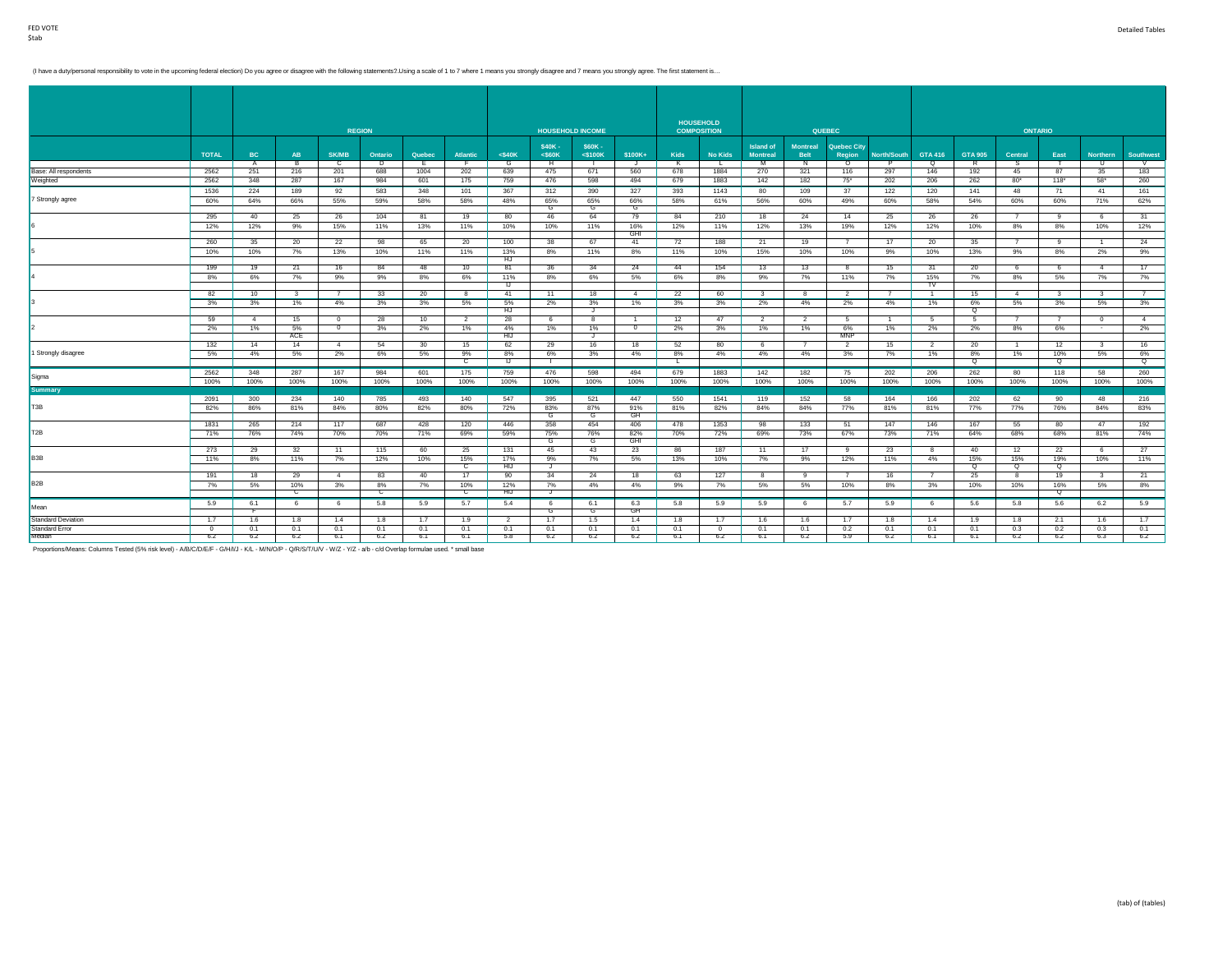(I have a duty/personal responsibility to vote in the upcoming federal election) Do you agree or disagree with the following statements?. Using a scale of 1 to 7 where 1 means you strongly disagree and 7 means you strongly

|                           |                |                |      |                | <b>REGION</b> |        |                 |                |                | <b>HOUSEHOLD INCOME</b> |                   | <b>HOUSEHOLD</b> | <b>COMPOSITION</b> |                  |                 | <b>QUEBEC</b>      |                |                |                |                | <b>ONTARIO</b> |                         |                  |
|---------------------------|----------------|----------------|------|----------------|---------------|--------|-----------------|----------------|----------------|-------------------------|-------------------|------------------|--------------------|------------------|-----------------|--------------------|----------------|----------------|----------------|----------------|----------------|-------------------------|------------------|
|                           |                |                |      |                |               |        |                 |                |                |                         |                   |                  |                    |                  |                 |                    |                |                |                |                |                |                         |                  |
|                           |                |                |      |                |               |        |                 |                | \$40K-         | \$60K -                 |                   |                  |                    | <b>Island of</b> | <b>Montreal</b> | <b>Quebec City</b> |                |                |                |                |                |                         |                  |
|                           | <b>TOTAL</b>   | BC             | AB   | <b>SK/MB</b>   | Ontario       | Quebec | <b>Atlantic</b> | $<$ \$40 $K$   | $<$ S60 $K$    | $<$ \$100 $K$           | \$100K+           | Kids             | <b>No Kids</b>     | <b>Montreal</b>  | <b>Belt</b>     | Region             | North/South    | <b>GTA 416</b> | <b>GTA 905</b> | Central        | East           | Northern                | <b>Southwest</b> |
|                           |                | A              | - B  | c              | Þ             |        | ு               | G              | $\overline{H}$ | - 11                    | J.                | K                | L                  | M                | N               | $\circ$            | P.             | Q              | R              | S.             |                | U                       | $\sqrt{2}$       |
| Base: All respondents     | 2562           | 251            | 216  | 201            | 688           | 1004   | 202             | 639            | 475            | 671                     | 560               | 678              | 1884               | 270              | 321             | 116                | 297            | 146            | 192            | 45             | 87             | 35                      | 183              |
| Weighted                  | 2562           | 348            | 287  | 167            | 984           | 601    | 175             | 759            | 476            | 598                     | 494               | 679              | 1883               | 142              | 182             | $75*$              | 202            | 206            | 262            | $80*$          | $118*$         | 58"                     | 260              |
|                           | 1536           | 224            | 189  | 92             | 583           | 348    | 101             | 367            | 312            | 390                     | 327               | 393              | 1143               | 80               | 109             | 37                 | 122            | 120            | 141            | 48             | 71             | 41                      | 161              |
| 7 Strongly agree          | 60%            | 64%            | 66%  | 55%            | 59%           | 58%    | 58%             | 48%            | 65%            | 65%                     | 66%               | 58%              | 61%                | 56%              | 60%             | 49%                | 60%            | 58%            | 54%            | 60%            | 60%            | 71%                     | 62%              |
|                           |                |                |      |                |               |        |                 |                | G              | G                       | G                 |                  |                    |                  |                 |                    |                |                |                |                |                |                         |                  |
|                           | 295            | 40             | 25   | 26             | 104           | 81     | 19              | 80             | 46             | 64                      | 79                | 84               | 210                | 18               | 24              | 14                 | 25             | 26             | 26             |                | 9              | 6                       | 31               |
|                           | 12%            | 12%            | 9%   | 15%            | 11%           | 13%    | 11%             | 10%            | 10%            | 11%                     | 16%<br><b>GHI</b> | 12%              | 11%                | 12%              | 13%             | 19%                | 12%            | 12%            | 10%            | 8%             | 8%             | 10%                     | 12%              |
|                           | 260            | 35             | 20   | 22             | 98            | 65     | 20              | 100            | 38             | 67                      | 41                | 72               | 188                | 21               | 19              |                    | 17             | 20             | 35             |                | 9              | $\overline{1}$          | 24               |
|                           | 10%            | 10%            | 7%   | 13%            | 10%           | 11%    | 11%             | 13%            | 8%             | 11%                     | 8%                | 11%              | 10%                | 15%              | 10%             | 10%                | 9%             | 10%            | 13%            | 9%             | 8%             | 2%                      | 9%               |
|                           |                |                |      |                |               |        |                 | HJ             |                |                         |                   |                  |                    |                  |                 |                    |                |                |                |                |                |                         |                  |
|                           | 199            | 19             | 21   | 16             | 84            | 48     | 10              | 81             | 36             | 34                      | 24                | 44               | 154                | 13               | 13              | 8                  | 15             | 31             | 20             | 6              | 6              | $\overline{4}$          | 17               |
|                           | 8%             | 6%             | 7%   | 9%             | 9%            | 8%     | 6%              | 11%            | 8%             | 6%                      | 5%                | 6%               | 8%                 | 9%               | 7%              | 11%                | 7%             | 15%            | 7%             | 8%             | 5%             | 7%                      | 7%               |
|                           | 82             | 10             | -3   |                | 33            | 20     | 8               | IJ<br>41       | 11             | 18                      | $\overline{4}$    | 22               | 60                 | 3                | 8               | $\overline{2}$     |                | TV             | 15             | $\overline{4}$ | 3              | - 3                     | $\overline{7}$   |
|                           | 3%             | 3%             | 1%   | 4%             | 3%            | 3%     | 5%              | 5%             | 2%             | 3%                      | 1%                | 3%               | 3%                 | 2%               | 4%              | 2%                 | 4%             | 1%             | 6%             | 5%             | 3%             | 5%                      | 3%               |
|                           |                |                |      |                |               |        |                 | HJ             |                | J.                      |                   |                  |                    |                  |                 |                    |                |                | Q              |                |                |                         |                  |
|                           | 59             | $\overline{4}$ | 15   | $\overline{0}$ | 28            | 10     | $\overline{2}$  | 28             | 6              | 8                       | $\overline{1}$    | 12               | 47                 | 2                | $\overline{2}$  | -5                 | $\overline{1}$ | - 5            | -5             | $\overline{7}$ | $\overline{7}$ | $\overline{0}$          | $\overline{4}$   |
|                           | 2%             | 1%             | 5%   | $\overline{0}$ | 3%            | 2%     | 1%              | 4%             | 1%             | 1%                      | $\overline{0}$    | 2%               | 3%                 | 1%               | 1%              | 6%                 | 1%             | 2%             | 2%             | 8%             | 6%             | $\sim$                  | 2%               |
|                           |                |                | ACE  |                |               |        |                 | <b>HIJ</b>     |                | J                       |                   |                  |                    |                  |                 | <b>MNP</b>         |                |                |                |                |                |                         |                  |
|                           | 132            | 14             | 14   | $\overline{4}$ | 54            | 30     | 15              | 62             | 29             | 16                      | 18                | 52               | 80                 | 6                | $\overline{7}$  | $\overline{2}$     | 15             | 2              | 20             | $\overline{1}$ | 12             | $\overline{\mathbf{3}}$ | 16               |
| 1 Strongly disagree       | 5%             | 4%             | 5%   | 2%             | 6%            | 5%     | 9%              | 8%<br>IJ       | 6%             | 3%                      | 4%                | 8%               | 4%                 | 4%               | 4%              | 3%                 | 7%             | 1%             | 8%             | 1%             | 10%<br>$\circ$ | 5%                      | 6%               |
|                           |                |                |      |                |               |        | $\mathbf{C}$    |                | п.             |                         |                   | ъ.               |                    |                  |                 |                    |                |                | Q              |                |                |                         | Q                |
| Sigma                     | 2562           | 348            | 287  | 167            | 984           | 601    | 175             | 759            | 476            | 598                     | 494               | 679              | 1883               | 142              | 182             | 75                 | 202            | 206            | 262            | 80             | 118            | 58                      | 260              |
|                           | 100%           | 100%           | 100% | 100%           | 100%          | 100%   | 100%            | 100%           | 100%           | 100%                    | 100%              | 100%             | 100%               | 100%             | 100%            | 100%               | 100%           | 100%           | 100%           | 100%           | 100%           | 100%                    | 100%             |
| <b>Summary</b>            | 2091           | 300            | 234  | 140            | 785           | 493    | 140             | 547            | 395            | 521                     | 447               | 550              |                    | 119              | 152             | 58                 | 164            | 166            | 202            | 62             |                | 48                      | 216              |
| T <sub>3</sub> B          | 82%            | 86%            | 81%  | 84%            | 80%           | 82%    | 80%             | 72%            | 83%            | 87%                     | 91%               | 81%              | 1541<br>82%        | 84%              | 84%             | 77%                | 81%            | 81%            | 77%            | 77%            | 90<br>76%      | 84%                     | 83%              |
|                           |                |                |      |                |               |        |                 |                | ਰ              | G                       | GH                |                  |                    |                  |                 |                    |                |                |                |                |                |                         |                  |
|                           | 1831           | 265            | 214  | 117            | 687           | 428    | 120             | 446            | 358            | 454                     | 406               | 478              | 1353               | 98               | 133             | 51                 | 147            | 146            | 167            | 55             | 80             | 47                      | 192              |
| T <sub>2</sub> B          | 71%            | 76%            | 74%  | 70%            | 70%           | 71%    | 69%             | 59%            | 75%            | 76%                     | 82%               | 70%              | 72%                | 69%              | 73%             | 67%                | 73%            | 71%            | 64%            | 68%            | 68%            | 81%                     | 74%              |
|                           |                |                |      |                |               |        |                 |                | G              | G                       | <b>GHI</b>        |                  |                    |                  |                 |                    |                |                |                |                |                |                         |                  |
|                           | 273            | 29             | 32   | 11             | 115           | 60     | 25              | 131            | 45             | 43                      | 23                | 86               | 187                | 11               | 17              | 9                  | 23             | - 8            | 40             | 12             | 22             | 6                       | 27               |
| B <sub>3</sub> B          | 11%            | 8%             | 11%  | 7%             | 12%           | 10%    | 15%             | 17%            | 9%             | 7%                      | 5%                | 13%              | 10%                | 7%               | 9%              | 12%                | 11%            | 4%             | 15%            | 15%            | 19%            | 10%                     | 11%              |
|                           |                |                |      |                |               |        | $\mathbf{C}$    | <b>HIJ</b>     | J              |                         |                   |                  |                    |                  |                 |                    |                |                | $\alpha$       | $\alpha$       | $\alpha$       |                         |                  |
|                           | 191            | 18             | 29   | $\overline{4}$ | 83            | 40     | 17              | 90             | 34             | 24                      | 18                | 63               | 127                | 8                | $\mathbf{9}$    | - 7                | 16             | $\overline{7}$ | 25             | 8              | 19             | $\overline{\mathbf{3}}$ | 21               |
| B <sub>2</sub> B          | 7%             | 5%             | 10%  | 3%             | 8%            | 7%     | 10%             | 12%            | 7%             | 4%                      | 4%                | 9%               | 7%                 | 5%               | 5%              | 10%                | 8%             | 3%             | 10%            | 10%            | 16%            | 5%                      | 8%               |
|                           |                |                | C    |                | $\mathbf{C}$  |        | $\mathbf{C}$    | <b>HIJ</b>     | J              |                         |                   |                  |                    |                  |                 |                    |                |                |                |                | Q              |                         |                  |
| Mean                      | 5.9            | 6.1            | - 6  | 6              | 5.8           | 5.9    | 5.7             | 5.4            | 6              | 6.1                     | 6.3<br>GH         | 5.8              | 5.9                | 5.9              | 6               | 5.7                | 5.9            | - 6            | 5.6            | 5.8            | 5.6            | 6.2                     | 5.9              |
| <b>Standard Deviation</b> | 1.7            | 1.6            | 1.8  | 1.4            | 1.8           | 1.7    | 1.9             | $\overline{2}$ | G<br>1.7       | G<br>1.5                | 1.4               | 1.8              | 1.7                | 1.6              | 1.6             | 1.7                | 1.8            | 1.4            | 1.9            | 1.8            | 2.1            | 1.6                     | 1.7              |
| Standard Error            | $\overline{0}$ | 0.1            | 0.1  | 0.1            | 0.1           | 0.1    | 0.1             | 0.1            | 0.1            | 0.1                     | 0.1               | 0.1              | $\Omega$           | 0.1              | 0.1             | 0.2                | 0.1            | 0.1            | 0.1            | 0.3            | 0.2            | 0.3                     | 0.1              |
| Median                    | 6.2            | 6.2            | 6.2  | 6.1            | 6.2           | 6.1    | 6.1             | 5.8            | 6.2            | 6.2                     | 6.2               | 6.1              | 6.2                | 6.1              | 6.2             | 5.9                | 6.2            | 6.1            | 6.1            | 6.2            | 6.2            | 6.3                     | 6.2              |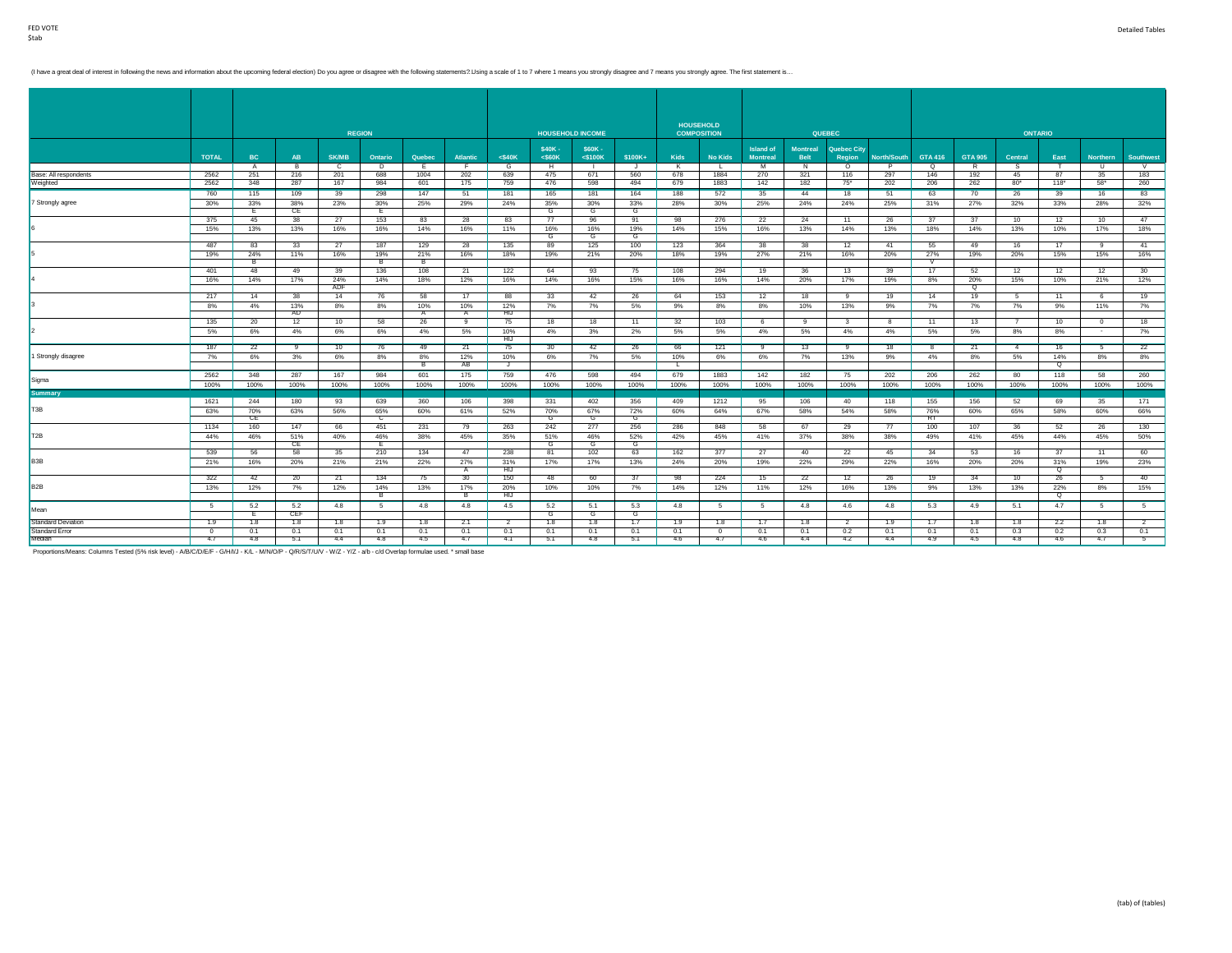(I have a great deal of interest in following the news and information about the upcoming federal election) Do you agree or disagree with the following statements?. J/sing a scale of 1 to 7 where 1 means you strongly disag

|                       |              |              |                |                |                |         |           |                |             |                         |          |                 | <b>HOUSEHOLD</b>   |                  |                 |                    |             |                         |                |                |          |                 |                  |
|-----------------------|--------------|--------------|----------------|----------------|----------------|---------|-----------|----------------|-------------|-------------------------|----------|-----------------|--------------------|------------------|-----------------|--------------------|-------------|-------------------------|----------------|----------------|----------|-----------------|------------------|
|                       |              |              |                |                | <b>REGION</b>  |         |           |                |             | <b>HOUSEHOLD INCOME</b> |          |                 | <b>COMPOSITION</b> |                  |                 | <b>QUEBEC</b>      |             |                         |                | <b>ONTARIO</b> |          |                 |                  |
|                       |              |              |                |                |                |         |           |                |             |                         |          |                 |                    |                  |                 |                    |             |                         |                |                |          |                 |                  |
|                       |              |              |                |                |                |         |           |                | \$40K-      | \$60K -                 |          |                 |                    | <b>Island of</b> | <b>Montreal</b> | <b>Quebec City</b> |             |                         |                |                |          |                 |                  |
|                       | <b>TOTAL</b> | BC.          | AB             | <b>SK/MB</b>   | Ontario        | Quebec  | Atlantic  | $<$ \$40 $K$   | $<$ S60 $K$ | $<$ \$100 $K$           | $$100K+$ | <b>Kids</b>     | <b>No Kids</b>     | <b>Montreal</b>  | <b>Belt</b>     | Region             | North/South | GTA 416                 | GTA 905        | Central        | East     | <b>Northern</b> | <b>Southwest</b> |
|                       |              | $\mathsf{A}$ | $\overline{B}$ | $\overline{c}$ | $\overline{D}$ |         | F.        | G              | H           |                         | J        | K               | - 11               | M                | $\overline{N}$  | $\overline{\circ}$ |             | $\overline{\mathbf{Q}}$ | $\overline{R}$ | s              |          | U               | <b>V</b>         |
| Base: All respondents | 2562         | 251          | 216            | 201            | 688            | 1004    | 202       | 639            | 475         | 671                     | 560      | 678             | 1884               | 270              | 321             | 116                | 297         | 146                     | 192            | 45             | 87       | 35              | 183              |
| Weighted              | 2562         | 348          | 287            | 167            | 984            | 601     | 175       | 759            | 476         | 598                     | 494      | 679             | 1883               | 142              | 182             | $75^*$             | 202         | 206                     | 262            | $80*$          | $118*$   | 58*             | 260              |
|                       | 760          | 115          | 109            | 39             | 298            | 147     | 51        | 181            | 165         | 181                     | 164      | 188             | 572                | 35               | 44              | 18                 | 51          | 63                      | 70             | 26             | 39       | 16              | 83               |
| 7 Strongly agree      | 30%          | 33%          | 38%            | 23%            | 30%            | 25%     | 29%       | 24%            | 35%         | 30%                     | 33%      | 28%             | 30%                | 25%              | 24%             | 24%                | 25%         | 31%                     | 27%            | 32%            | 33%      | 28%             | 32%              |
|                       |              | E            | CE.            |                | Œ.             |         |           |                | G           | G                       | G        |                 |                    |                  |                 |                    |             |                         |                |                |          |                 |                  |
|                       | 375          | 45           | 38             | 27             | 153            | 83      | 28        | 83             | 77          | 96                      | 91       | 98              | 276                | 22               | 24              | 11                 | 26          | 37                      | 37             | 10             | 12       | 10              | 47               |
|                       | 15%          | 13%          | 13%            | 16%            | 16%            | 14%     | 16%       | 11%            | 16%         | 16%                     | 19%      | 14%             | 15%                | 16%              | 13%             | 14%                | 13%         | 18%                     | 14%            | 13%            | 10%      | 17%             | 18%              |
|                       |              |              |                |                |                |         |           |                | G           | G                       | G        |                 |                    |                  |                 |                    |             |                         |                |                |          |                 |                  |
|                       | 487          | 83           | 33             | 27             | 187            | 129     | 28        | 135            | 89          | 125                     | 100      | 123             | 364                | 38               | 38              | 12                 | 41          | 55                      | 49             | 16             | 17       | -9              | 41               |
|                       | 19%          | 24%          | 11%            | 16%            | 19%            | 21%     | 16%       | 18%            | 19%         | 21%                     | 20%      | 18%             | 19%                | 27%              | 21%             | 16%                | 20%         | 27%                     | 19%            | 20%            | 15%      | 15%             | 16%              |
|                       |              | - B          |                |                | в              | в.      |           |                |             |                         |          |                 |                    |                  |                 |                    |             | <b>V</b>                |                |                |          |                 |                  |
|                       | 401          | 48           | 49             | 39             | 136            | 108     | 21        | 122            | 64          | 93                      | 75       | 108             | 294                | 19               | 36              | 13                 | 39          | 17                      | 52             | 12             | 12       | 12              | 30               |
|                       | 16%          | 14%          | 17%            | 24%            | 14%            | 18%     | 12%       | 16%            | 14%         | 16%                     | 15%      | 16%             | 16%                | 14%              | 20%             | 17%                | 19%         | 8%                      | 20%            | 15%            | 10%      | 21%             | 12%              |
|                       |              |              |                | ADF            |                |         |           |                |             |                         |          |                 |                    |                  |                 |                    |             |                         | þ              |                |          |                 |                  |
|                       | 217          | 14           | 38             | 14             | 76             | 58      | 17        | 88             | 33          | 42                      | 26       | 64              | 153                | 12               | 18              | -9                 | 19          | 14                      | 19             | 5              | 11       | 6               | 19               |
|                       | 8%           | 4%           | 13%            | 8%             | 8%             | 10%     | 10%       | 12%            | 7%          | 7%                      | 5%       | 9%              | 8%                 | 8%               | 10%             | 13%                | 9%          | 7%                      | 7%             | 7%             | 9%       | 11%             | 7%               |
|                       |              |              | <b>AD</b>      |                |                | A       | A         | <b>HIJ</b>     |             |                         |          |                 |                    |                  |                 |                    |             |                         |                |                |          |                 |                  |
|                       | 135          | 20           | 12             | 10             | 58             | 26      | -9        | 75             | 18          | 18                      | 11       | 32              | 103                | 6                | -9              | $\mathbf{3}$       | 8           | 11                      | 13             | $\overline{7}$ | 10       | $^{\circ}$      | 18               |
|                       | 5%           | 6%           | 4%             | 6%             | 6%             | 4%      | 5%        | 10%            | 4%          | 3%                      | 2%       | 5%              | 5%                 | 4%               | 5%              | 4%                 | 4%          | 5%                      | 5%             | 8%             | 8%       | $\sim$          | 7%               |
|                       |              |              |                |                |                |         |           | HIJ            |             |                         |          |                 |                    |                  |                 |                    |             |                         |                |                |          |                 |                  |
|                       | 187          | 22           | -9             | 10             | 76             | 49      | 21        | 75             | 30          | 42                      | 26       | 66              | 121                | -9               | 13              |                    | 18          | 8                       | 21             | $\overline{4}$ | 16       | - 5             | 22               |
| 1 Strongly disagree   |              |              |                |                |                |         |           |                |             |                         |          |                 |                    |                  |                 |                    |             |                         |                |                |          |                 |                  |
|                       | 7%           | 6%           | 3%             | 6%             | 8%             | 8%<br>в | 12%<br>AB | 10%<br>IJ      | 6%          | 7%                      | 5%       | 10%<br><b>L</b> | 6%                 | 6%               | 7%              | 13%                | 9%          | 4%                      | 8%             | 5%             | 14%<br>Q | 8%              | 8%               |
|                       |              |              |                |                |                |         |           |                |             |                         |          |                 |                    |                  |                 |                    |             |                         |                |                |          |                 |                  |
| Sigma                 | 2562         | 348          | 287            | 167            | 984            | 601     | 175       | 759            | 476         | 598                     | 494      | 679             | 1883               | 142              | 182             | 75                 | 202         | 206                     | 262            | 80             | 118      | 58              | 260              |
|                       | 100%         | 100%         | 100%           | 100%           | 100%           | 100%    | 100%      | 100%           | 100%        | 100%                    | 100%     | 100%            | 100%               | 100%             | 100%            | 100%               | 100%        | 100%                    | 100%           | 100%           | 100%     | 100%            | 100%             |
| <b>Summary</b>        |              |              |                |                |                |         |           |                |             |                         |          |                 |                    |                  |                 |                    |             |                         |                |                |          |                 |                  |
|                       | 1621         | 244          | 180            | 93             | 639            | 360     | 106       | 398            | 331         | 402                     | 356      | 409             | 1212               | 95               | 106             | 40                 | 118         | 155                     | 156            | 52             | 69       | 35              | 171              |
| T3B                   | 63%          | 70%          | 63%            | 56%            | 65%            | 60%     | 61%       | 52%            | 70%         | 67%                     | 72%      | 60%             | 64%                | 67%              | 58%             | 54%                | 58%         | 76%                     | 60%            | 65%            | 58%      | 60%             | 66%              |
|                       |              | <b>CE</b>    |                |                | $\mathbf{C}$   |         |           |                | G           | $\mathsf{G}$            | G        |                 |                    |                  |                 |                    |             | <b>RT</b>               |                |                |          |                 |                  |
|                       | 1134         | 160          | 147            | 66             | 451            | 231     | 79        | 263            | 242         | 277                     | 256      | 286             | 848                | 58               | 67              | 29                 | 77          | 100                     | 107            | 36             | 52       | 26              | 130              |
| T <sub>2</sub> B      | 44%          | 46%          | 51%            | 40%            | 46%            | 38%     | 45%       | 35%            | 51%         | 46%                     | 52%      | 42%             | 45%                | 41%              | 37%             | 38%                | 38%         | 49%                     | 41%            | 45%            | 44%      | 45%             | 50%              |
|                       |              |              | <b>CE</b>      |                | E              |         |           |                | G           | G                       | G        |                 |                    |                  |                 |                    |             |                         |                |                |          |                 |                  |
|                       | 539          | 56           | 58             | 35             | 210            | 134     | 47        | 238            | 81          | 102                     | 63       | 162             | 377                | 27               | 40              | 22                 | 45          | 34                      | 53             | 16             | 37       | 11              | 60               |
| B <sub>3</sub> B      | 21%          | 16%          | 20%            | 21%            | 21%            | 22%     | 27%       | 31%            | 17%         | 17%                     | 13%      | 24%             | 20%                | 19%              | 22%             | 29%                | 22%         | 16%                     | 20%            | 20%            | 31%      | 19%             | 23%              |
|                       |              |              |                |                |                |         | A         | HIJ            |             |                         |          |                 |                    |                  |                 |                    |             |                         |                |                | ୍ଦ       |                 |                  |
|                       | 322          | 42           | 20             | 21             | 134            | 75      | 30        | 150            | 48          | 60                      | 37       | 98              | 224                | 15               | 22              | 12                 | 26          | 19                      | 34             | 10             | 26       | -5              | 40               |
| B <sub>2</sub> B      | 13%          | 12%          | 7%             | 12%            | 14%            | 13%     | 17%       | 20%            | 10%         | 10%                     | 7%       | 14%             | 12%                | 11%              | 12%             | 16%                | 13%         | 9%                      | 13%            | 13%            | 22%      | 8%              | 15%              |
|                       |              |              |                |                | в.             |         | <b>B</b>  | HIJ            |             |                         |          |                 |                    |                  |                 |                    |             |                         |                |                | ୍        |                 |                  |
|                       | 5            | 5.2          | 5.2            | 4.8            | 5              | 4.8     | 4.8       | 4.5            | 5.2         | 5.1                     | 5.3      | 4.8             | 5                  | 5                | 4.8             | 4.6                | 4.8         | 5.3                     | 4.9            | 5.1            | 4.7      | 5               | 5                |
| Mean                  |              | F.           | CEF            |                |                |         |           |                | G           | G                       | G        |                 |                    |                  |                 |                    |             |                         |                |                |          |                 |                  |
| Standard Deviation    | 1.9          | 1.8          | 1.8            | 1.8            | 1.9            | 1.8     | 2.1       | $\overline{2}$ | 1.8         | 1.8                     | 1.7      | 1.9             | 1.8                | 1.7              | 1.8             | 2                  | 1.9         | 1.7                     | 1.8            | 1.8            | 2.2      | 1.8             | $\overline{2}$   |
| Standard Error        | $^{\circ}$   | 0.1          | 0.1            | 0.1            | 0.1            | 0.1     | 0.1       | 0.1            | 0.1         | 0.1                     | 0.1      | 0.1             | $\Omega$           | 0.1              | 0.1             | 0.2                | 0.1         | 0.1                     | 0.1            | 0.3            | 0.2      | 0.3             | 0.1              |
| Median                | 4.7          | 4.8          | 5.1            | 4.4            | 4.8            | 4.5     | 4.7       | 4.1            | 5.1         | 4.8                     | 5.1      | 4.6             | 4.7                | 4.6              | 4.4             | 4.2                | 4.4         | 4.9                     | 4.5            | 4.8            | 4.6      | 4.7             |                  |
|                       |              |              |                |                |                |         |           |                |             |                         |          |                 |                    |                  |                 |                    |             |                         |                |                |          |                 |                  |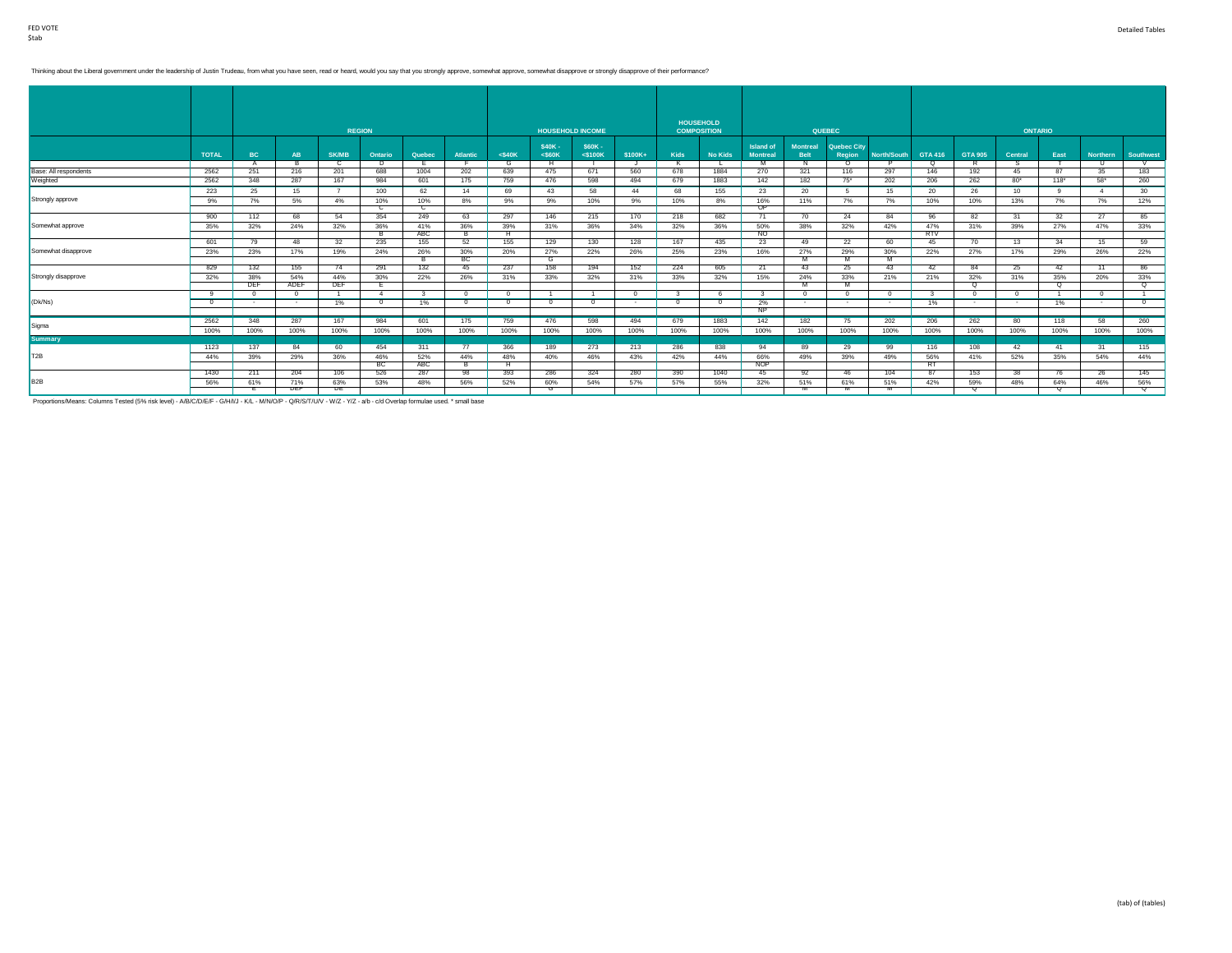### Thinking about the Liberal government under the leadership of Justin Trudeau, from what you have seen, read or heard, would you say that you strongly approve, somewhat approve, somewhat disapprove or strongly disapprove of

|                       |              |            |      |              |                |            |                 |              |                         |                          |          |          | <b>HOUSEHOLD</b>   |                                     |                                |                       |             |                   |                |                  |            |                 |                 |
|-----------------------|--------------|------------|------|--------------|----------------|------------|-----------------|--------------|-------------------------|--------------------------|----------|----------|--------------------|-------------------------------------|--------------------------------|-----------------------|-------------|-------------------|----------------|------------------|------------|-----------------|-----------------|
|                       |              |            |      |              | <b>REGION</b>  |            |                 |              | <b>HOUSEHOLD INCOME</b> |                          |          |          | <b>COMPOSITION</b> |                                     |                                | <b>QUEBEC</b>         |             |                   |                | <b>ONTARIO</b>   |            |                 |                 |
|                       | <b>TOTAL</b> | BC         | AB   | <b>SK/MB</b> | Ontario        | Quebec     | <b>Atlantic</b> | $<$ \$40 $K$ | \$40K-<br>$<$ S60K      | \$60K -<br>$<$ \$100 $K$ | \$100K+  | Kids     | <b>No Kids</b>     | <b>Island of</b><br><b>Montreal</b> | <b>Montreal</b><br><b>Belt</b> | Quebec City<br>Region | North/South | GTA 416           | <b>GTA 905</b> | <b>Central</b>   | East       | <b>Northern</b> | Southwest       |
|                       |              |            |      | C            | D              |            |                 | G            | н.                      |                          |          |          |                    | M                                   | N.                             | $\Omega$              |             | $\Omega$          |                | s                |            | - U             |                 |
| Base: All respondents | 2562         | 251        | 216  | 201          | 688            | 1004       | 202             | 639          | 475                     | 671                      | 560      | 678      | 1884               | 270                                 | 321                            | 116                   | 297         | 146               | 192            | 45               | 87         | 35              | 183             |
| Weighted              | 2562         | 348        | 287  | 167          | 984            | 601        | 175             | 759          | 476                     | 598                      | 494      | 679      | 1883               | 142                                 | 182                            | $75^*$                | 202         | 206               | 262            | $80*$            | $118*$     | $58*$           | 260             |
|                       | 223          | 25         | 15   |              | 100            | 62         | 14              | 69           | 43                      | 58                       | 44       | 68       | 155                | 23                                  | 20                             |                       | 15          | 20                | 26             | 10 <sup>10</sup> | $^{\circ}$ | $\overline{4}$  | 30 <sup>2</sup> |
| Strongly approve      | 9%           | 7%         | 5%   | 4%           | 10%            | 10%        | 8%              | 9%           | 9%                      | 10%                      | 9%       | 10%      | 8%                 | 16%                                 | 11%                            | 7%                    | 7%          | 10%               | 10%            | 13%              | 7%         | 7%              | 12%             |
|                       |              |            |      |              | с              | c          |                 |              |                         |                          |          |          |                    | OP.                                 |                                |                       |             |                   |                |                  |            |                 |                 |
|                       | 900          | 112        | 68   | 54           | 354            | 249        | 63              | 297          | 146                     | 215                      | 170      | 218      | 682                | 71                                  | 70                             | 24                    | 84          | 96                | 82             | 31               | 32         | 27              | 85              |
| Somewhat approve      | 35%          | 32%        | 24%  | 32%          | 36%<br>в       | 41%<br>ABC | 36%<br>ъ.       | 39%<br>н     | 31%                     | 36%                      | 34%      | 32%      | 36%                | 50%<br>NO.                          | 38%                            | 32%                   | 42%         | 47%<br><b>RTV</b> | 31%            | 39%              | 27%        | 47%             | 33%             |
|                       | 601          | 79         | 48   |              | 235            |            |                 |              | 129                     |                          | 128      | 167      |                    |                                     | 49                             | 22                    | 60          |                   |                |                  | 34         | 15              | 59              |
| Somewhat disapprove   |              |            |      | 32           |                | 155        | 52              | 155          |                         | 130                      |          |          | 435                | 23                                  |                                |                       |             | 45                | 70             | 13               |            |                 |                 |
|                       | 23%          | 23%        | 17%  | 19%          | 24%            | 26%        | 30%<br>BC       | 20%          | 27%<br>ত                | 22%                      | 26%      | 25%      | 23%                | 16%                                 | 27%<br>м                       | 29%<br>$\overline{M}$ | 30%         | 22%               | 27%            | 17%              | 29%        | 26%             | 22%             |
|                       | 829          | 132        | 155  | 74           | 291            | 132        | 45              | 237          | 158                     | 194                      | 152      | 224      | 605                | 21                                  | 43                             | 25                    | 43          | 42                | 84             | 25               | 42         | 11              | 86              |
| Strongly disapprove   | 32%          | 38%        | 54%  | 44%          | 30%            | 22%        | 26%             | 31%          | 33%                     | 32%                      | 31%      | 33%      | 32%                | 15%                                 | 24%                            | 33%                   | 21%         | 21%               | 32%            | 31%              | 35%        | 20%             | 33%             |
|                       |              | <b>DEF</b> | ADEF | <b>DEF</b>   | Е.             |            |                 |              |                         |                          |          |          |                    |                                     |                                |                       |             |                   | ᠊ᡉ             |                  | o          |                 | ᠊ᡉ              |
|                       | -9           |            |      |              | $\overline{4}$ |            | $\Omega$        | $\Omega$     | $\overline{1}$          |                          | $\Omega$ |          |                    | -3                                  | $^{\circ}$                     |                       | $\sqrt{2}$  | $\mathcal{R}$     | $\sqrt{2}$     | $\Omega$         |            | $^{\circ}$      | $\overline{1}$  |
| (Dk/Ns)               | $^{\circ}$   |            |      | 1%           | $\overline{0}$ | 1%         | - 0             | $\Omega$     | $^{\circ}$              | $\Omega$                 |          | $\Omega$ | $\Omega$           | 2%                                  | $\sim$                         |                       |             | 1%                | $\sim$         | . .              | 1%         |                 | $\Omega$        |
|                       |              |            |      |              |                |            |                 |              |                         |                          |          |          |                    | NP.                                 |                                |                       |             |                   |                |                  |            |                 |                 |
|                       | 2562         | 348        | 287  | 167          | 984            | 601        | 175             | 759          | 476                     | 598                      | 494      | 679      | 1883               | 142                                 | 182                            | 75                    | 202         | 206               | 262            | 80               | 118        | 58              | 260             |
| Sigma                 | 100%         | 100%       | 100% | 100%         | 100%           | 100%       | 100%            | 100%         | 100%                    | 100%                     | 100%     | 100%     | 100%               | 100%                                | 100%                           | 100%                  | 100%        | 100%              | 100%           | 100%             | 100%       | 100%            | 100%            |
| <b>Summary</b>        |              |            |      |              |                |            |                 |              |                         |                          |          |          |                    |                                     |                                |                       |             |                   |                |                  |            |                 |                 |
|                       | 1123         | 137        | 84   | 60           | 454            | 311        | 77              | 366          | 189                     | 273                      | 213      | 286      | 838                | 94                                  | 89                             | 29                    | 99          | 116               | 108            | 42               | 41         | 31              | 115             |
| T <sub>2</sub> B      | 44%          | 39%        | 29%  | 36%          | 46%            | 52%        | 44%             | 48%          | 40%                     | 46%                      | 43%      | 42%      | 44%                | 66%                                 | 49%                            | 39%                   | 49%         | 56%               | 41%            | 52%              | 35%        | 54%             | 44%             |
|                       |              |            |      |              | ВC             | ABC        | в               | н.           |                         |                          |          |          |                    | <b>NOP</b>                          |                                |                       |             | RT.               |                |                  |            |                 |                 |
|                       | 1430         | 211        | 204  | 106          | 526            | 287        | 98              | 393          | 286                     | 324                      | 280      | 390      | 1040               | 45                                  | 92                             | 46                    | 104         | 87                | 153            | 38               | 76         | 26              | 145             |
| B <sub>2</sub> B      | 56%          | 61%        | 71%  | 63%          | 53%            | 48%        | 56%             | 52%          | 60%                     | 54%                      | 57%      | 57%      | 55%                | 32%                                 | 51%                            | 61%                   | 51%         | 42%               | 59%            | 48%              | 64%        | 46%             | 56%             |
|                       |              |            | ᄜ    | ᄜ            |                |            |                 |              | उ                       |                          |          |          |                    |                                     |                                |                       |             |                   | σ              |                  |            |                 | ਧ               |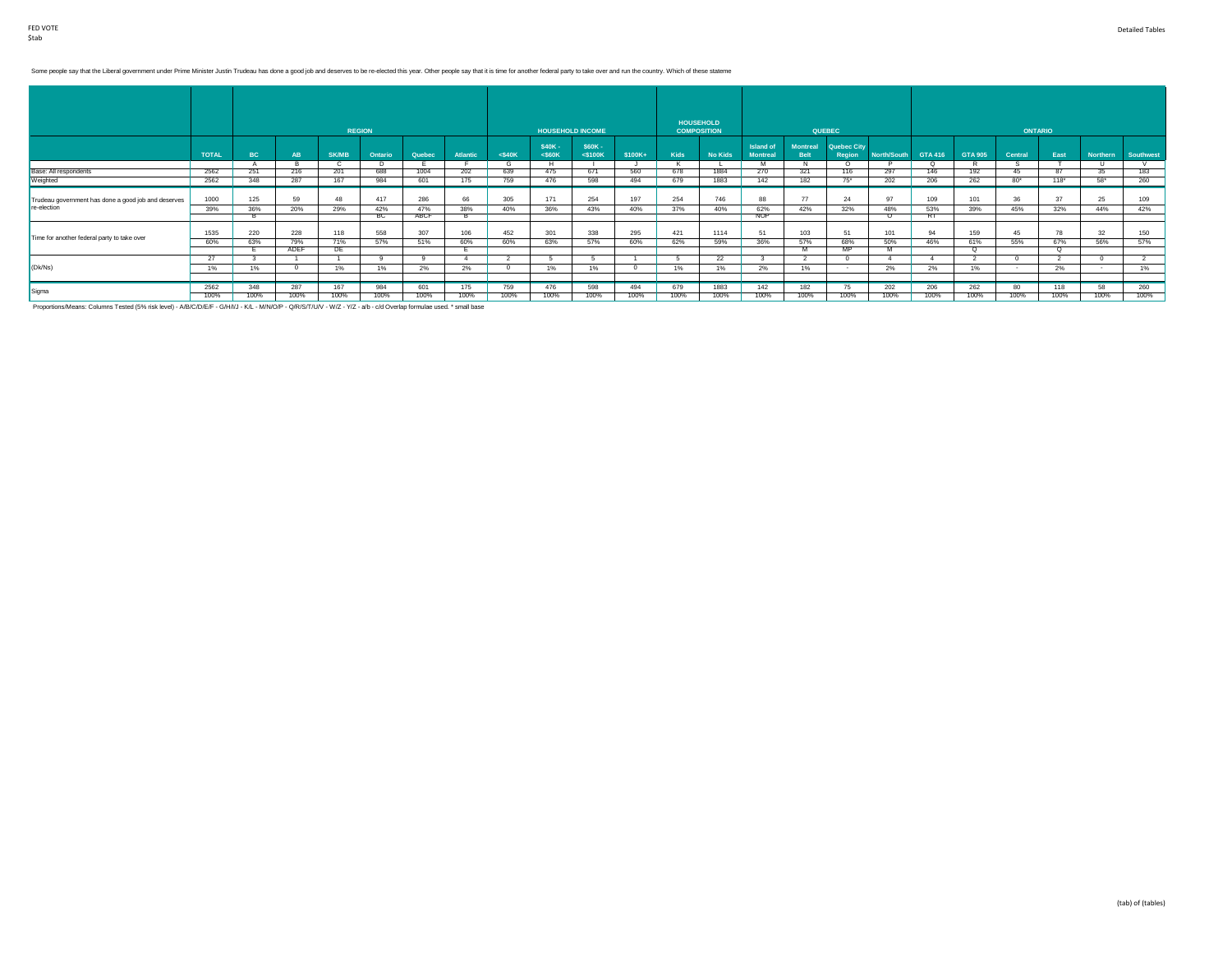# Some people say that the Liberal government under Prime Minister Justin Trudeau has done a good job and deserves to be re-elected this year. Other people say that it is time for another federal party to take over and run t

|                                                     |              |           |                    | <b>REGION</b> |            |                    |          |              | <b>HOUSEHOLD INCOME</b> |                         |         |      | <b>HOUSEHOLD</b><br><b>COMPOSITION</b> |                                     |                                | <b>QUEBEC</b>                |                         |                 |                   | <b>ONTARIO</b> |           |              |                  |
|-----------------------------------------------------|--------------|-----------|--------------------|---------------|------------|--------------------|----------|--------------|-------------------------|-------------------------|---------|------|----------------------------------------|-------------------------------------|--------------------------------|------------------------------|-------------------------|-----------------|-------------------|----------------|-----------|--------------|------------------|
|                                                     | <b>TOTAL</b> | <b>BC</b> | AB                 | <b>SK/MB</b>  | Ontario    | Quebec             | Atlantic | $<$ \$40 $K$ | \$40K-<br>$<$ S60K      | \$60K-<br>$<$ \$100 $K$ | \$100K+ | Kids | <b>No Kids</b>                         | <b>Island of</b><br><b>Montreal</b> | <b>Montreal</b><br><b>Belt</b> | <b>Quebec City</b><br>Region | North/South             | GTA 416         | <b>GTA 905</b>    | Central        | East      | Northern     | <b>Southwest</b> |
| Base: All respondents                               | 2562         | 251       | 216                | 201           | 688        | 1004               | 202      | 639          | H<br>475                | 671                     | 560     | 678  | 1884                                   | M<br>270                            | 321                            | $\Omega$<br>116              | 297                     | $\Omega$<br>146 | R<br>192          | 45             | 87        | $\cup$<br>35 | 183              |
| Weighted                                            | 2562         | 348       | 287                | 167           | 984        | 601                | 175      | 759          | 476                     | 598                     | 494     | 679  | 1883                                   | 142                                 | 182                            | 75*                          | 202                     | 206             | 262               | $80*$          | 118"      | $58*$        | 260              |
| Trudeau government has done a good job and deserves | 1000         | 125       | 59                 | 48            | 417        | 286                | 66       | 305          | 171                     | 254                     | 197     | 254  | 746                                    | 88                                  | 77                             | 24                           | 97                      | 109             | 101               | 36             | 37        | 25           | 109              |
| re-election                                         | 39%          | 36%       | 20%                | 29%           | 42%<br>___ | 47%<br><b>ABCF</b> | 38%      | 40%          | 36%                     | 43%                     | 40%     | 37%  | 40%                                    | 62%<br><b>NOP</b>                   | 42%                            | 32%                          | 48%<br>$\left( \right)$ | 53%<br>RT       | 39%               | 45%            | 32%       | 44%          | 42%              |
|                                                     |              |           |                    |               | <b>BU</b>  |                    |          |              |                         |                         |         |      |                                        |                                     |                                |                              |                         |                 |                   |                |           |              |                  |
| Time for another federal party to take over         | 1535         | 220       | 228                | 118           | 558        | 307                | 106      | 452          | 301                     | 338                     | 295     | 421  | 1114                                   | 51                                  | 103                            | 51                           | 101                     | 94              | 159               | 45             | 78        | 32           | 150              |
|                                                     | 60%          | 63%       | 79%<br><b>ADEF</b> | 71%<br>DE     | 57%        | 51%                | 60%      | 60%          | 63%                     | 57%                     | 60%     | 62%  | 59%                                    | 36%                                 | 57%                            | 68%<br>MP.                   | 50%                     | 46%             | 61%<br>$^{\circ}$ | 55%            | 67%<br>Q. | 56%          | 57%              |
|                                                     | 27           |           |                    |               |            |                    |          |              |                         |                         |         |      | 22                                     |                                     |                                |                              |                         |                 |                   |                |           |              |                  |
| (Dk/Ns)                                             | 1%           | 1%        |                    | $1\%$         | 1%         | 2%                 | 2%       |              | 1%                      | 1%                      |         | 1%   | 1%                                     | 2%                                  | 1%                             |                              | 2%                      | 2%              | 1%                |                | 2%        |              | 1%               |
|                                                     |              |           |                    |               |            |                    |          |              |                         |                         |         |      |                                        |                                     |                                |                              |                         |                 |                   |                |           |              |                  |
| Sigma                                               | 2562         | 348       | 287                | 167           | 984        | 601                | 175      | 759          | 476                     | 598                     | 494     | 679  | 1883                                   | 142                                 | 182                            | 75                           | 202                     | 206             | 262               | 80             | 118       | 58           | 260              |
|                                                     | 100%         | 100%      | 100%               | 100%          | 100%       | 100%               | 100%     | 100%         | 100%                    | 100%                    | 100%    | 100% | 100%                                   | 100%                                | 100%                           | 100%                         | 100%                    | 100%            | 100%              | 100%           | 100%      | 100%         | 100%             |